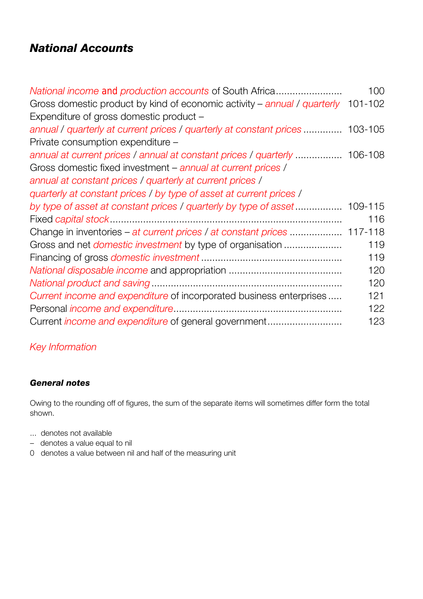# *National Accounts*

| National income and production accounts of South Africa                          | 100 |
|----------------------------------------------------------------------------------|-----|
| Gross domestic product by kind of economic activity – annual / quarterly 101-102 |     |
| Expenditure of gross domestic product -                                          |     |
| annual / quarterly at current prices / quarterly at constant prices  103-105     |     |
| Private consumption expenditure -                                                |     |
| annual at current prices / annual at constant prices / quarterly  106-108        |     |
| Gross domestic fixed investment – annual at current prices /                     |     |
| annual at constant prices / quarterly at current prices /                        |     |
| quarterly at constant prices / by type of asset at current prices /              |     |
|                                                                                  |     |
|                                                                                  | 116 |
| Change in inventories – at current prices / at constant prices  117-118          |     |
| Gross and net <i>domestic investment</i> by type of organisation                 | 119 |
|                                                                                  | 119 |
|                                                                                  | 120 |
|                                                                                  | 120 |
| Current income and expenditure of incorporated business enterprises              | 121 |
|                                                                                  | 122 |
| Current <i>income and expenditure</i> of general government                      | 123 |

## *Key Information*

## *General notes*

Owing to the rounding off of figures, the sum of the separate items will sometimes differ form the total shown.

- ... denotes not available
- denotes a value equal to nil
- 0 denotes a value between nil and half of the measuring unit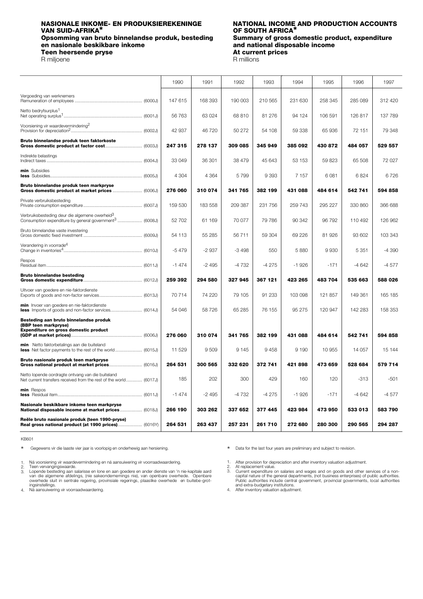# **Opsomming van bruto binnelandse produk, besteding Summary of gross domestic pro<br>en nasionale beskikbare inkome by and national disposable income en nasionale beskikbare inkome and national disposable income values**<br>Teen heersende pryse **and income in the set of the entity of the entity of the angle of the set of the set of the set of the set of the set of the se Teen heersende pryse At current prices and pricess and pricess and pricess and pricess and pricess and pricess and pricess and pricess and pricess and pricess and pricess and pricess and pricess and pricess and pricess**

R milioene

# <span id="page-1-0"></span>**NASIONALE INKOME- EN PRODUKSIEREKENINGE NATIONAL INCOME AND PRODUCTION ACCOUNTS<br>VAN SUID-AFRIKA<sup>\*</sup> OF SOUTH AFRICA<sup>\*</sup> OF SOUTH AFRICA<sup>\*</sup>**<br>Summary of gross domestic product, expenditure

|                                                                                                                                  | 1990    | 1991    | 1992    | 1993    | 1994    | 1995    | 1996    | 1997    |
|----------------------------------------------------------------------------------------------------------------------------------|---------|---------|---------|---------|---------|---------|---------|---------|
| Vergoeding van werknemers                                                                                                        | 147 615 | 168 393 | 190 003 | 210 565 | 231 630 | 258 345 | 285 089 | 312 420 |
| Netto bedryfsurplus <sup>1</sup>                                                                                                 | 56 763  | 63024   | 68 810  | 81 276  | 94 124  | 106 591 | 126817  | 137 789 |
| Voorsiening vir waardevermindering <sup>2</sup>                                                                                  | 42 937  | 46 720  | 50 272  | 54 108  | 59 338  | 65 936  | 72 151  | 79 348  |
| Bruto binnelandse produk teen faktorkoste                                                                                        | 247 315 | 278 137 | 309 085 | 345 949 | 385 092 | 430 872 | 484 057 | 529 557 |
| Indirekte belastings                                                                                                             | 33 049  | 36 301  | 38 479  | 45 643  | 53 153  | 59823   | 65 508  | 72 027  |
| min Subsidies                                                                                                                    | 4 3 0 4 | 4 3 6 4 | 5799    | 9 3 9 3 | 7 1 5 7 | 6081    | 6824    | 6726    |
| Bruto binnelandse produk teen markpryse                                                                                          | 276 060 | 310 074 | 341 765 | 382 199 | 431 088 | 484 614 | 542 741 | 594 858 |
| Private verbruiksbesteding                                                                                                       | 159 530 | 183 558 | 209 387 | 231 756 | 259 743 | 295 227 | 330 860 | 366 688 |
| Verbruiksbesteding deur die algemene owerheid <sup>3</sup><br>Consumption expenditure by general government <sup>3</sup> (6008J) | 52 702  | 61 169  | 70 077  | 79 786  | 90 342  | 96 792  | 110 492 | 126 962 |
| Bruto binnelandse vaste investering                                                                                              | 54 113  | 55 285  | 56711   | 59 304  | 69 226  | 81926   | 93 602  | 103 343 |
| Verandering in voorrade <sup>4</sup>                                                                                             | $-5479$ | $-2937$ | $-3498$ | 550     | 5880    | 9930    | 5 3 5 1 | $-4390$ |
| Respos                                                                                                                           | $-1474$ | $-2495$ | $-4732$ | $-4275$ | $-1926$ | $-171$  | $-4642$ | $-4577$ |
| <b>Bruto binnelandse besteding</b>                                                                                               | 259 392 | 294 580 | 327945  | 367 121 | 423 265 | 483 704 | 535 663 | 588 026 |
| Uitvoer van goedere en nie-faktordienste                                                                                         | 70714   | 74 220  | 79 105  | 91 233  | 103 098 | 121 857 | 149 361 | 165 185 |
| min Invoer van goedere en nie-faktordienste                                                                                      | 54 046  | 58726   | 65 285  | 76 155  | 95 275  | 120 947 | 142 283 | 158 353 |
| Besteding aan bruto binnelandse produk<br>(BBP teen markpryse)<br>Expenditure on gross domestic product                          |         |         |         |         |         |         |         |         |
| min Netto faktorbetalings aan die buiteland                                                                                      | 276 060 | 310 074 | 341 765 | 382 199 | 431 088 | 484 614 | 542 741 | 594 858 |
| Bruto nasionale produk teen markpryse                                                                                            | 11 529  | 9509    | 9 1 4 5 | 9458    | 9 1 9 0 | 10 955  | 14 0 57 | 15 144  |
|                                                                                                                                  | 264 531 | 300 565 | 332 620 | 372 741 | 421898  | 473 659 | 528 684 | 579 714 |
| Netto lopende oordragte ontvang van die buiteland<br>Net current transfers received from the rest of the world (6017J)           | 185     | 202     | 300     | 429     | 160     | 120     | $-313$  | $-501$  |
| min Respos                                                                                                                       | $-1474$ | $-2495$ | -4732   | $-4275$ | $-1926$ | $-171$  | $-4642$ | $-4577$ |
| Nasionale beskikbare inkome teen markpryse<br>National disposable income at market prices (6018J)                                | 266 190 | 303 262 | 337 652 | 377 445 | 423 984 | 473 950 | 533 013 | 583 790 |
| Reële bruto nasionale produk (teen 1990-pryse)<br>Real gross national product (at 1990 prices) (6016Y)                           | 264 531 | 263 437 | 257 231 | 261710  | 272 680 | 280 300 | 290 565 | 294 287 |

KB601

Gegewens vir die laaste vier jaar is voorlopig en onderhewig aan hersiening. \*

Ná voorsiening vir waardevermindering en ná aansuiwering vir voorraadwaardering. 1.

- 
- Teen vervangingswaarde.<br>Lopende besteding aan salarisse en lone en aan goedere en ander dienste van 'n nie-kapitale aard<br>van die algemene afdelings, (nie sakeondernemings nie), van openbare owerhede. Openbare<br>owerhede slui 2. 3.
- 4.

Data for the last four years are preliminary and subject to revision. \*

1. After provision for depreciation and after inventory valuation adjustment.

At replacement value.<br>Current expenditure on salaries and wages and on goods and other services of a non-<br>Capital nature of the general departments, (not business enterprises) of public authorities.<br>Public authorities incl 2. 3.

4.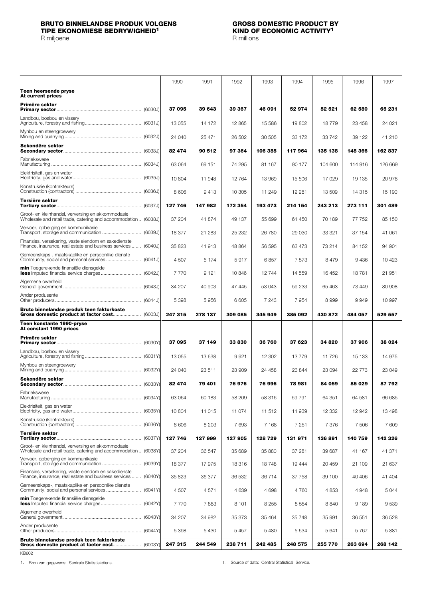### <span id="page-2-0"></span>**BRUTO BINNELANDSE PRODUK VOLGENS GROSS DOMESTIC PRODUCT BY TIPE EKONOMIESE BEDRYWIGHEID<sup>1</sup>**

R milioene R milioene R milioene R milioene R milioene R milioene R milioene R milioene R milioene R milioene

**Teen heersende pryse At current prices Primêre sektor Primary sector** ............................................................... (6030J) Landbou, bosbou en vissery Agriculture, forestry and fishing.......................................... (6031J) Mynbou en steengroewery Mining and quarrying ......................................................... (6032J) **Sekondêre sektor Secondary sector**.......................................................... (6033J) Fabriekswese Manufacturing ................................................................... (6034J) Elektrisiteit, gas en water Electricity, gas and water................................................... (6035J) Konstruksie (kontrakteurs) Construction (contractors) ................................................. (6036J) **Tersiêre sektor Tertiary sector**............................................................... (6037J) Groot- en kleinhandel, verversing en akkommodasie Wholesale and retail trade, catering and accommodation .. (6038J) Vervoer, opberging en kommunikasie Transport, storage and communication ............................. (6039J) Finansies, versekering, vaste eiendom en sakedienste Finance, insurance, real estate and business services ....... (6040J) Gemeenskaps-, maatskaplike en persoonlike dienste Community, social and personal services .......................... (6041J) **min** Toegerekende finansiële diensgelde **less** Imputed financial service charges.............................. (6042J) Algemene owerheid General government .......................................................... (6043J) Ander produsente Other producers................................................................ (6044J) **Bruto binnelandse produk teen faktorkoste Gross domestic product at factor cost**..................... (6003J) **Teen konstante 1990-pryse At constant 1990 prices Primêre sektor Primary sector**............................................................... (6030Y) Landbou, bosbou en vissery Agriculture, forestry and fishing.......................................... (6031Y) Mynbou en steengroewery Mining and quarrying ......................................................... (6032Y) **Sekondêre sektor Secondary sector**.......................................................... (6033Y) Fabriekswese Manufacturing ................................................................... (6034Y) Elektrisiteit, gas en water Electricity, gas and water................................................... (6035Y) Konstruksie (kontrakteurs) Construction (contractors) ................................................. (6036Y) **Tersiêre sektor Tertiary sector**............................................................... (6037Y) Groot- en kleinhandel, verversing en akkommodasie Wholesale and retail trade, catering and accommodation .. (6038Y) Vervoer, opberging en kommunikasie Transport, storage and communication ............................. (6039Y) Finansies, versekering, vaste eiendom en sakedienste Finance, insurance, real estate and business services ....... (6040Y) Gemeenskaps-, maatskaplike en persoonlike dienste Community, social and personal services .......................... (6041Y) **min** Toegerekende finansiële diensgelde **less** Imputed financial service charges.............................. (6042Y) Algemene owerheid General government .......................................................... (6043Y) Ander produsente Other producers................................................................ (6044Y) **Bruto binnelandse produk teen faktorkoste Gross domestic product at factor cost**..................... (6003Y) 1990 | 1991 | 1992 | 1993 | 1994 | 1995 | 1996 | 1997 **37 095 39 643 39 367 46 091 52 974 52 521 62 580 65 231** 13 055 | 14 172 | 12 865 | 15 586 | 19 802 | 18 779 | 23 458 | 24 021 24 040 25 471 26 502 30 505 33 172 33 742 39 122 41 210 **82 474 90 512 97 364 106 385 117 964 135 138 148 366 162 837** 63 064 | 69 151 | 74 295 | 81 167 | 90 177 | 104 600 | 114 916 | 126 669 10 804 | 11 948 | 12 764 | 13 969 | 15 506 | 17 029 | 19 135 | 20 978 8 606 | 9413 | 10 305 | 11 249 | 12 281 | 13 509 | 14 315 | 15 190 **127 746 147 982 172 354 193 473 214 154 243 213 273 111 301 489** 37 204 | 41 874 | 49 137 | 55 699 | 61 450 | 70 189 | 77 752 | 85 150 18 377 | 21 283 | 25 232 | 26 780 | 29 030 | 33 321 | 37 154 | 41 061 35 823 | 41 913 | 48 864 | 56 595 | 63 473 | 73 214 | 84 152 | 94 901 4 507 | 5174 | 5917 | 6857 | 7573 | 8479 | 9436 | 10423 7 770 | 9121 | 10 846 | 12 744 | 14 559 | 16 452 | 18 781 | 21 951 34 207 | 40 903 | 47 445 | 53 043 | 59 233 | 65 463 | 73 449 | 80 908 5 398 5 956 6 605 7 243 7 954 8 999 9 949 10 997 **247 315 278 137 309 085 345 949 385 092 430 872 484 057 529 557 37 095 37 149 33 830 36 760 37 623 34 820 37 906 38 024** 13 055 | 13 638 | 9921 | 12 302 | 13 779 | 11 726 | 15 133 | 14 975 24 040 23 511 23 909 24 458 23 844 23 094 22 773 23 049 **82 474 79 401 76 976 76 996 78 981 84 059 85 029 87 792** 63 064 60 183 58 209 58 316 59 791 64 351 64 581 66 685 10 804 | 11 015 | 11 074 | 11 512 | 11 939 | 12 332 | 12 942 | 13 498 8 606 | 8203 | 7693 | 7168 | 7251 | 7376 | 7506 | 7609 **127 746 127 999 127 905 128 729 131 971 136 891 140 759 142 326** 37 204 36 547 35 689 35 880 37 281 39 687 41 167 41 371 18 377 | 17 975 | 18 316 | 18 748 | 19 444 | 20 459 | 21 109 | 21 637 35 823 36 377 36 532 36 714 37 758 39 100 40 406 41 404 4 507 | 4 571 | 4 639 | 4 698 | 4 760 | 4 853 | 4 948 | 5 044 7 770 | 7883 | 8101 | 8255 | 8554 | 8840 | 9189 | 9539 34 207 | 34 982 | 35 373 | 35 464 | 35 748 | 35 991 | 36 551 | 36 528 5 398 5 430 5 457 5 480 5 534 5 641 5 767 5 881 **247 315 244 549 238 711 242 485 248 575 255 770 263 694 268 142**

KB602

1. Bron van gegewens: Sentrale Statistiekdiens. 1. Source of data: Central Statistical Service.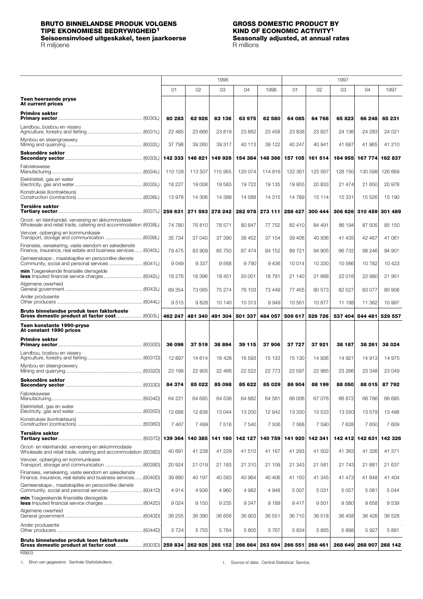## <span id="page-3-0"></span>**BRUTO BINNELANDSE PRODUK VOLGENS GROSS DOMESTIC PRODUCT BY TIPE EKONOMIESE BEDRYWIGHEID1 KIND OF ECONOMIC ACTIVITY1**

### R miljoene R millions (R millions et al., 2008). R millions (R millions et al., 2014). R millions

# **Seisoensinvloed uitgeskakel, teen jaarkoerse Seasonally adjusted, at annual rates**

|                                                                                                                                                                       |         |         | 1996            |         |          |         |         | 1997    |                         |                 |
|-----------------------------------------------------------------------------------------------------------------------------------------------------------------------|---------|---------|-----------------|---------|----------|---------|---------|---------|-------------------------|-----------------|
|                                                                                                                                                                       | 01      | 02      | 03              | 04      | 1996     | 01      | 02      | 03      | 04                      | 1997            |
| Teen heersende pryse<br>At current prices                                                                                                                             |         |         |                 |         |          |         |         |         |                         |                 |
| Primêre sektor                                                                                                                                                        | 60 283  | 62926   | 63 136          | 63975   | 62 580   | 64 085  | 64 768  | 65 823  | 66 248                  | 65 231          |
| Landbou, bosbou en vissery                                                                                                                                            | 22 485  | 23 666  | 23819           | 23 862  | 23 458   | 23 838  | 23 827  | 24 136  | 24 283                  | 24 0 21         |
| Mynbou en steengroewery                                                                                                                                               | 37 798  | 39 260  | 39 317          | 40 113  | 39 122   | 40 247  | 40 941  | 41 687  | 41 965                  | 41 210          |
| Sekondêre sektor                                                                                                                                                      | 142 333 | 146 821 | 149 926         | 154 384 | 148 366  | 157 105 | 161 514 | 164 955 |                         | 167 774 162 837 |
| Fabriekswese                                                                                                                                                          | 110 128 | 113 507 | 115 955         | 120 074 | 114 916  | 122 361 | 125 567 | 128 150 | 130 598                 | 126 669         |
| Elektrisiteit, gas en water                                                                                                                                           | 18 227  | 19 008  | 19583           | 19722   | 19 135   | 19 955  | 20 833  | 21 474  | 21 650                  | 20 978          |
| Konstruksie (kontrakteurs)                                                                                                                                            | 13978   | 14 30 6 | 14 3 8 8        | 14 588  | 14 3 15  | 14 789  | 15 114  | 15 331  | 15 5 26                 | 15 190          |
| Tersiêre sektor                                                                                                                                                       | 259 631 |         | 271 593 278 242 | 282 978 | 273 111  | 288 427 | 300 444 |         | 306 626 310 459 301 489 |                 |
| Groot- en kleinhandel, verversing en akkommodasie<br>Wholesale and retail trade, catering and accommodation (6038L)                                                   | 74 780  | 76810   | 78 571          | 80 847  | 77 752   | 82 410  | 84 491  | 86 194  | 87 505                  | 85 150          |
| Vervoer, opberging en kommunikasie<br>Transport, storage and communication  (6039L)                                                                                   | 35 7 34 | 37 040  | 37 390          | 38 452  | 37 154   | 39 406  | 40 936  | 41 435  | 42 467                  | 41 061          |
| Finansies, versekering, vaste eiendom en sakedienste<br>Finance, insurance, real estate and business services (6040L)                                                 | 79 475  | 83 909  | 85 750          | 87 474  | 84 152   | 89 721  | 94 905  | 96 732  | 98 246                  | 94 901          |
| Gemeenskaps-, maatskaplike en persoonlike dienste<br>Community, social and personal services  (6041L)                                                                 | 9049    | 9337    | 9568            | 9 7 9 0 | 9436     | 10 014  | 10 330  | 10 566  | 10782                   | 10423           |
| min Toegerekende finansiële diensgelde                                                                                                                                | 18 276  | 18 396  | 18451           | 20 001  | 18781    | 21 140  | 21 668  | 22 016  | 22 980                  | 21 951          |
| Algemene owerheid                                                                                                                                                     | 69 354  | 73 065  | 75 274          | 76 103  | 73 449   | 77 455  | 80 573  | 82 527  | 83077                   | 80 908          |
| Ander produsente                                                                                                                                                      | 9515    | 9828    | 10 140          | 10 313  | 9949     | 10561   | 10877   | 11 188  | 11 362                  | 10 997          |
| Bruto binnelandse produk teen faktorkoste                                                                                                                             | 462 247 | 481 340 | 491 304         | 501 337 | 484 057  | 509 617 | 526 726 | 537 404 | 544 481                 | 529 557         |
| Teen konstante 1990-pryse<br>At constant 1990 prices                                                                                                                  |         |         |                 |         |          |         |         |         |                         |                 |
| Primêre sektor                                                                                                                                                        | 36 096  | 37 519  | 38 894          | 39 115  | 37906    | 37 727  | 37921   | 38 187  | 38 261                  | 38 0 24         |
| Landbou, bosbou en vissery                                                                                                                                            | 12897   | 14 614  | 16 4 28         | 16 593  | 15 133   | 15 130  | 14 936  | 14 921  | 14 913                  | 14975           |
| Mynbou en steengroewery                                                                                                                                               | 23 199  | 22 905  | 22 466          | 22 5 22 | 22 7 7 3 | 22 597  | 22 985  | 23 266  | 23 348                  | 23 049          |
| Sekondêre sektor                                                                                                                                                      | 84 374  | 85 022  | 85 098          | 85 622  | 85 029   | 86 904  | 88 199  | 88 050  | 88 015                  | 87 792          |
| Fabriekswese                                                                                                                                                          | 64 221  | 64 685  | 64 536          | 64 882  | 64 581   | 66 006  | 67 076  | 66 872  | 66 786                  | 66 685          |
| Elektrisiteit, gas en water                                                                                                                                           | 12 686  | 12838   | 13 044          | 13 200  | 12 942   | 13 330  | 13 533  | 13 550  | 13579                   | 13 4 98         |
| Konstruksie (kontrakteurs)                                                                                                                                            | 7 4 6 7 | 7 4 9 9 | 7518            | 7540    | 7 506    | 7 5 6 8 | 7 5 9 0 | 7628    | 7650                    | 7609            |
| Tersiêre sektor                                                                                                                                                       | 139 364 | 140 385 | 141 160         | 142 127 | 140 759  | 141 920 | 142 341 |         | 142 412 142 631 142 326 |                 |
| Groot- en kleinhandel, verversing en akkommodasie<br>Wholesale and retail trade, catering and accommodation (6038D)                                                   | 40 691  | 41 238  | 41 229          | 41 510  | 41 167   | 41 293  | 41 502  | 41 363  | 41 326                  | 41 371          |
| Vervoer, opberging en kommunikasie<br>Transport, storage and communication  (6039D)                                                                                   | 20 9 24 | 21 019  | 21 183          | 21 310  | 21 109   | 21 343  | 21 581  | 21 743  | 21881                   | 21 637          |
| Finansies, versekering, vaste eiendom en sakedienste<br>Finance, insurance, real estate and business services (6040D)                                                 | 39 880  | 40 197  | 40 583          | 40 964  | 40 40 6  | 41 150  | 41 345  | 41 473  | 41 648                  | 41 404          |
| Gemeenskaps-, maatskaplike en persoonlike dienste                                                                                                                     | 4914    | 4936    | 4 9 6 0         | 4 9 8 2 | 4948     | 5 0 0 7 | 5 0 31  | 5 0 5 7 | 5081                    | 5044            |
| min Toegerekende finansiële diensgelde                                                                                                                                | 9024    | 9 1 5 0 | 9 2 3 5         | 9 3 4 7 | 9 1 8 9  | 9417    | 9501    | 9580    | 9658                    | 9539            |
| Algemene owerheid                                                                                                                                                     | 36 255  | 36 390  | 36 656          | 36 903  | 36 551   | 36710   | 36 518  | 36 458  | 36 4 26                 | 36 528          |
| Ander produsente                                                                                                                                                      | 5724    | 5755    | 5784            | 5 805   | 5767     | 5 8 3 4 | 5865    | 5898    | 5927                    | 5881            |
| Bruto binnelandse produk teen faktorkoste<br>Gross domestic product at factor cost…………………(6003D)  259 834   262 926   265 152   266 864   263 694   266 551   268 461 |         |         |                 |         |          |         |         |         | 268 649 268 907 268 142 |                 |

KB603

1. Bron van gegewens: Sentrale Statistiekdiens. 1. Source of data: Central Statistical Service.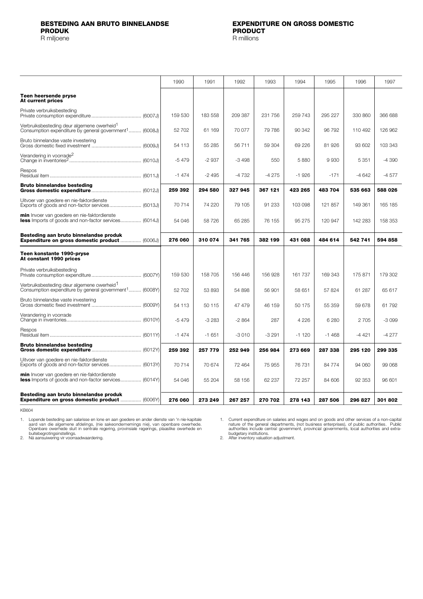<span id="page-4-0"></span>

|                                                                                                                              | 1990    | 1991    | 1992    | 1993    | 1994    | 1995    | 1996    | 1997    |
|------------------------------------------------------------------------------------------------------------------------------|---------|---------|---------|---------|---------|---------|---------|---------|
| Teen heersende pryse<br>At current prices                                                                                    |         |         |         |         |         |         |         |         |
| Private verbruiksbesteding                                                                                                   | 159 530 | 183 558 | 209 387 | 231 756 | 259 743 | 295 227 | 330 860 | 366 688 |
| Verbruiksbesteding deur algemene owerheid <sup>1</sup><br>Consumption expenditure by general government <sup>1</sup> (6008J) | 52 702  | 61 169  | 70 077  | 79 786  | 90 342  | 96792   | 110 492 | 126 962 |
| Bruto binnelandse vaste investering                                                                                          | 54 113  | 55 285  | 56 711  | 59 304  | 69 2 26 | 81 926  | 93 602  | 103 343 |
| Verandering in voorrade <sup>2</sup>                                                                                         | $-5479$ | $-2937$ | $-3498$ | 550     | 5880    | 9930    | 5 3 5 1 | $-4390$ |
| Respos                                                                                                                       | $-1474$ | $-2495$ | -4732   | $-4275$ | $-1926$ | $-171$  | $-4642$ | $-4577$ |
| <b>Bruto binnelandse besteding</b>                                                                                           | 259 392 | 294 580 | 327 945 | 367 121 | 423 265 | 483 704 | 535 663 | 588 026 |
| Uitvoer van goedere en nie-faktordienste<br>Exports of goods and non-factor services (6013J)                                 | 70714   | 74 220  | 79 105  | 91 233  | 103 098 | 121 857 | 149 361 | 165 185 |
| min Invoer van goedere en nie-faktordienste<br><b>less</b> Imports of goods and non-factor services (6014J)                  | 54 046  | 58 726  | 65 285  | 76 155  | 95 275  | 120 947 | 142 283 | 158 353 |
| Besteding aan bruto binnelandse produk<br>Expenditure on gross domestic product  (6006J)                                     | 276 060 | 310 074 | 341 765 | 382 199 | 431 088 | 484 614 | 542 741 | 594 858 |
| Teen konstante 1990-pryse<br>At constant 1990 prices                                                                         |         |         |         |         |         |         |         |         |
| Private verbruiksbesteding                                                                                                   | 159 530 | 158 705 | 156 446 | 156 928 | 161 737 | 169 343 | 175 871 | 179 302 |
| Verbruiksbesteding deur algemene owerheid <sup>1</sup><br>Consumption expenditure by general government <sup>1</sup> (6008Y) | 52 702  | 53 893  | 54 898  | 56 901  | 58 651  | 57 824  | 61 287  | 65 617  |
| Bruto binnelandse vaste investering                                                                                          | 54 113  | 50 115  | 47 479  | 46 159  | 50 175  | 55 359  | 59 678  | 61792   |
| Verandering in voorrade                                                                                                      | $-5479$ | $-3283$ | $-2864$ | 287     | 4 2 2 6 | 6 2 8 0 | 2 7 0 5 | $-3099$ |
| Respos                                                                                                                       | $-1474$ | $-1651$ | $-3010$ | $-3291$ | $-1120$ | $-1468$ | $-4421$ | $-4277$ |
| <b>Bruto binnelandse besteding</b>                                                                                           | 259 392 | 257 779 | 252 949 | 256 984 | 273 669 | 287 338 | 295 120 | 299 335 |
| Uitvoer van goedere en nie-faktordienste<br>Exports of goods and non-factor services (6013Y)                                 | 70714   | 70 674  | 72 464  | 75 955  | 76 731  | 84 774  | 94 060  | 99 068  |
| <b>min</b> Invoer van goedere en nie-faktordienste<br>less Imports of goods and non-factor services (6014Y)                  | 54 046  | 55 204  | 58 156  | 62 237  | 72 257  | 84 606  | 92 353  | 96 601  |
| Besteding aan bruto binnelandse produk<br>Expenditure on gross domestic product  (6006Y)                                     | 276 060 | 273 249 | 267 257 | 270 702 | 278 143 | 287 506 | 296 827 | 301802  |

KB604

Lopende besteding aan salarisse en lone en aan goedere en ander dienste van 'n nie-kapitale<br>aard van die algemene afdelings, (nie sakeondernemings nie), van openbare owerhede.<br>Openbare owerhede sluit in sentrale regering, 1.

Current expenditure on salaries and wages and on goods and other services of a non-capital<br>nature of the general departments, (not business enterprises), of public authorities. Public<br>authorities include central government 1.

2.

2.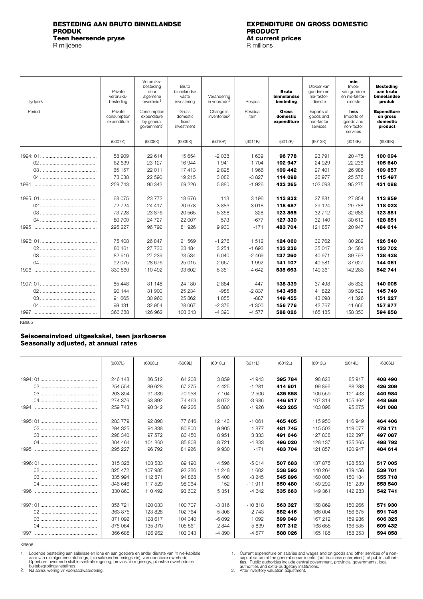# <span id="page-5-0"></span>**BESTEDING AAN BRUTO BINNELANDSE EXPENDITURE ON GROSS DOMESTIC Teen heersende pryse At current prices and at all and at all and prices are prices at all and prices are prices at all and prices are prices at all and prices are prices at all and prices are prices at all and prices ar**

R miljoene

# **PRODUCT**<br>At current prices

| Tydperk | Private<br>verbruiks-<br>besteding    | Verbruiks-<br>besteding<br>deur<br>algemene<br>owerheid <sup>1</sup> | Bruto<br>binnelandse<br>vaste<br>investering | Verandering<br>in voorrade <sup>2</sup> | Respos           | <b>Bruto</b><br>binnelandse<br>besteding | Uitvoer van<br>goedere en<br>nie-faktor-<br>dienste | min<br>Invoer<br>van goedere<br>en nie-faktor-<br>dienste | <b>Besteding</b><br>aan bruto<br>binnelandse<br>produk |
|---------|---------------------------------------|----------------------------------------------------------------------|----------------------------------------------|-----------------------------------------|------------------|------------------------------------------|-----------------------------------------------------|-----------------------------------------------------------|--------------------------------------------------------|
| Period  | Private<br>consumption<br>expenditure | Consumption<br>expenditure<br>by general<br>government <sup>1</sup>  | Gross<br>domestic<br>fixed<br>investment     | Change in<br>inventories <sup>2</sup>   | Residual<br>item | <b>Gross</b><br>domestic<br>expenditure  | Exports of<br>goods and<br>non-factor<br>services   | less<br>Imports of<br>goods and<br>non-factor<br>services | <b>Expenditure</b><br>on gross<br>domestic<br>product  |
|         | (6007K)                               | (6008K)                                                              | (6009K)                                      | (6010K)                                 | (6011K)          | (6012K)                                  | (6013K)                                             | (6014K)                                                   | (6006K)                                                |
|         | 58 909                                | 22 614                                                               | 15 654                                       | $-2038$                                 | 1 6 3 9          | 96 778                                   | 23 7 9 1                                            | 20 475                                                    | 100 094                                                |
|         | 62 639<br>65 157                      | 23 127<br>22 011                                                     | 16 944<br>17413                              | 1941<br>2895                            | $-1704$<br>1966  | 102 947<br>109 442                       | 24 9 29<br>27 401                                   | 22 2 36<br>26 986                                         | 105 640<br>109 857                                     |
|         | 73 038                                | 22 590                                                               | 19 215                                       | 3 0 8 2                                 | $-3827$          | 114 098                                  | 26 977                                              | 25 578                                                    | 115 497                                                |
|         | 259 743                               | 90 342                                                               | 69 226                                       | 5880                                    | $-1926$          | 423 265                                  | 103 098                                             | 95 275                                                    | 431 088                                                |
|         | 68 075                                | 23 7 7 2                                                             | 18 676                                       | 113                                     | 3 1 9 6          | 113832                                   | 27 881                                              | 27 854                                                    | 113859                                                 |
|         | 72724                                 | 24 417                                                               | 20 678                                       | 3886                                    | $-3018$          | 118 687                                  | 29 1 24                                             | 29 7 88                                                   | 118 023                                                |
|         | 73728                                 | 23 876                                                               | 20 5 65                                      | 5 3 5 8                                 | 328              | 123 855                                  | 32 712                                              | 32 686                                                    | 123881                                                 |
|         | 80 700                                | 24 7 27                                                              | 22 007                                       | 573                                     | $-677$           | 127 330                                  | 32 140                                              | 30 619                                                    | 128 851                                                |
|         | 295 227                               | 96 792                                                               | 81 926                                       | 9930                                    | $-171$           | 483 704                                  | 121 857                                             | 120 947                                                   | 484 614                                                |
|         | 75 408                                | 26 847                                                               | 21 5 6 9                                     | $-1276$                                 | 1512             | 124 060                                  | 32 762                                              | 30 282                                                    | 126 540                                                |
|         | 80 461                                | 27 730                                                               | 23 4 84                                      | 3 2 5 4                                 | $-1693$          | 133 236                                  | 35 047                                              | 34 581                                                    | 133 702                                                |
|         | 82916                                 | 27 239                                                               | 23 5 34                                      | 6040                                    | $-2469$          | 137 260                                  | 40 971                                              | 39 793                                                    | 138 438                                                |
|         | 92 075                                | 28 676                                                               | 25 015                                       | $-2667$                                 | $-1992$          | 141 107                                  | 40 581                                              | 37 627                                                    | 144 061                                                |
|         | 330 860                               | 110 492                                                              | 93 602                                       | 5 3 5 1                                 | $-4642$          | 535 663                                  | 149 361                                             | 142 283                                                   | 542 741                                                |
|         | 85 448                                | 31 148                                                               | 24 180                                       | $-2884$                                 | 447              | 138 339                                  | 37 498                                              | 35 832                                                    | 140 005                                                |
|         | 90 144                                | 31 900                                                               | 25 234                                       | $-985$                                  | $-2837$          | 143 456                                  | 41822                                               | 39 5 29                                                   | 145 749                                                |
|         | 91 665                                | 30 960                                                               | 25 862                                       | 1855                                    | $-887$           | 149 455                                  | 43 098                                              | 41 326                                                    | 151 227                                                |
|         | 99 431                                | 32 954                                                               | 28 067                                       | $-2376$                                 | $-1.300$         | 156 776                                  | 42 767                                              | 41 666                                                    | 157 877                                                |
|         | 366 688                               | 126 962                                                              | 103 343                                      | $-4390$                                 | $-4577$          | 588 026                                  | 165 185                                             | 158 353                                                   | 594 858                                                |
| KB605   |                                       |                                                                      |                                              |                                         |                  |                                          |                                                     |                                                           |                                                        |

### **Seisoensinvloed uitgeskakel, teen jaarkoerse Seasonally adjusted, at annual rates**

|      | (6007L) | (6008L) | (6009L) | (6010L) | (6011L)  | (6012L) | (6013L) | (6014L) | (6006L) |
|------|---------|---------|---------|---------|----------|---------|---------|---------|---------|
|      | 246 148 | 86 512  | 64 208  | 3859    | $-4943$  | 395 784 | 98 623  | 85 917  | 408 490 |
|      | 254 554 | 89 628  | 67 275  | 4 4 2 5 | $-1281$  | 414 601 | 99 896  | 88 288  | 426 209 |
|      | 263 894 | 91 336  | 70958   | 7 1 6 4 | 2 506    | 435 858 | 106 559 | 101 433 | 440 984 |
|      | 274 376 | 93 892  | 74 463  | 8072    | $-3.986$ | 446817  | 107 314 | 105 462 | 448 669 |
| 1994 | 259 743 | 90 342  | 69 226  | 5880    | $-1926$  | 423 265 | 103 098 | 95 275  | 431 088 |
|      |         |         |         |         |          |         |         |         |         |
|      | 283779  | 92 898  | 77 646  | 12 143  | $-1061$  | 465 405 | 115 950 | 116949  | 464 406 |
|      | 294 325 | 94 838  | 80 800  | 9 9 0 5 | 1877     | 481745  | 115 503 | 119 077 | 478 171 |
|      | 298 340 | 97 572  | 83 450  | 8951    | 3 3 3 3  | 491 646 | 127838  | 122 397 | 497 087 |
|      | 304 464 | 101 860 | 85 808  | 8721    | $-4833$  | 496 020 | 128 137 | 125 365 | 498 792 |
| 1995 | 295 227 | 96 792  | 81 926  | 9930    | $-171$   | 483 704 | 121 857 | 120 947 | 484 614 |
|      | 315 328 | 103 583 | 89 190  | 4596    | $-5014$  | 507 683 | 137 875 | 128 553 | 517 005 |
|      | 325 472 | 107 985 | 92 286  | 11 248  | 1 602    | 538 593 | 140 264 | 139 156 | 539 701 |
|      | 335 994 | 112871  | 94 868  | 5 4 0 8 | $-3245$  | 545 896 | 160 006 | 150 184 | 555 718 |
|      | 346 646 | 117529  | 98 064  | 152     | $-11911$ | 550 480 | 159 299 | 151 239 | 558 540 |
|      | 330 860 | 110 492 | 93 602  | 5 3 5 1 | $-4642$  | 535 663 | 149 361 | 142 283 | 542 741 |
|      |         |         |         |         |          |         |         |         |         |
|      | 356 721 | 120 033 | 100 707 | $-3316$ | $-10818$ | 563 327 | 158 869 | 150 266 | 571930  |
|      | 363 875 | 123828  | 102 764 | $-5308$ | $-2743$  | 582 416 | 166 004 | 156 675 | 591 745 |
|      | 371 092 | 128 617 | 104 340 | $-6092$ | 1092     | 599 049 | 167 212 | 159 936 | 606 325 |
|      | 375 064 | 135 370 | 105 561 | $-2844$ | $-5839$  | 607312  | 168 655 | 166 535 | 609 432 |
|      | 366 688 | 126 962 | 103 343 | $-4390$ | -4 577   | 588 026 | 165 185 | 158 353 | 594 858 |

KB606

Lopende besteding aan salarisse en lone en aan goedere en ander dienste van 'n nie-kapitale<br>aard van die algemene afdelings, (nie sakeondernemings nie), van openbare owerhede.<br>Openbare owerhede sluit in sentrale regering, 1.

2.

Current expenditure on salaries and wages and on goods and other services of a non-<br>Capital nature of the general departments, (not business enterprises), of public authorities<br>ties. Public authorities include central gove 1.

2.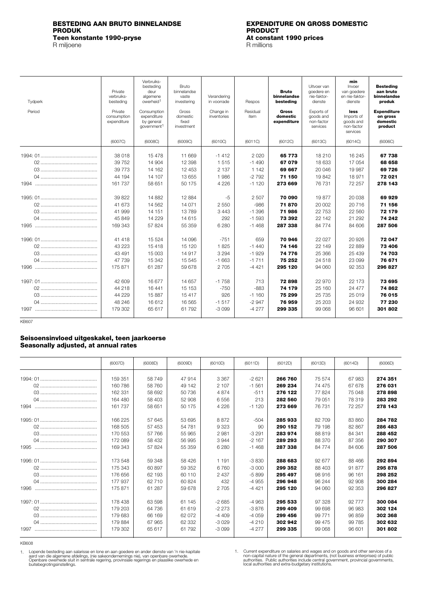# <span id="page-6-0"></span>**BESTEDING AAN BRUTO BINNELANDSE EXPENDITURE ON GROSS DOMESTIC Teen konstante 1990-pryse At constant 1990-pryse**<br>
R miljoene **At constant 1990-pryse**

R miljoene

# **PRODUCT**<br>At constant 1990 prices

| Tydperk<br>Period | Private<br>verbruiks-<br>besteding<br>Private | Verbruiks-<br>besteding<br>deur<br>algemene<br>owerheid <sup>1</sup><br>Consumption | Bruto<br>binnelandse<br>vaste<br>investerina<br>Gross | Verandering<br>in voorrade<br>Change in | Respos<br>Residual | <b>Bruto</b><br>binnelandse<br>besteding<br><b>Gross</b> | Uitvoer van<br>goedere en<br>nie-faktor-<br>dienste<br>Exports of | min<br>Invoer<br>van goedere<br>en nie-faktor-<br>dienste<br>less | <b>Besteding</b><br>aan bruto<br>binnelandse<br>produk<br><b>Expenditure</b> |
|-------------------|-----------------------------------------------|-------------------------------------------------------------------------------------|-------------------------------------------------------|-----------------------------------------|--------------------|----------------------------------------------------------|-------------------------------------------------------------------|-------------------------------------------------------------------|------------------------------------------------------------------------------|
|                   | consumption<br>expenditure                    | expenditure<br>by general<br>government <sup>1</sup>                                | domestic<br>fixed<br>investment                       | inventories                             | item               | domestic<br>expenditure                                  | goods and<br>non-factor<br>services                               | Imports of<br>goods and<br>non-factor<br>services                 | on gross<br>domestic<br>product                                              |
|                   | (6007C)                                       | (6008C)                                                                             | (6009C)                                               | (6010C)                                 | (6011C)            | (6012C)                                                  | (6013C)                                                           | (6014C)                                                           | (6006C)                                                                      |
|                   | 38 018                                        | 15478                                                                               | 11 669                                                | $-1412$                                 | 2020               | 65 7 7 3                                                 | 18 210                                                            | 16 245                                                            | 67 738                                                                       |
|                   | 39752                                         | 14 904                                                                              | 12 3 98                                               | 1515                                    | $-1490$            | 67079                                                    | 18 633                                                            | 17 054                                                            | 68 658                                                                       |
|                   | 39 7 7 3                                      | 14 162                                                                              | 12 453                                                | 2 1 3 7                                 | 1 1 4 2            | 69 667                                                   | 20 046                                                            | 19987                                                             | 69 726                                                                       |
|                   | 44 194                                        | 14 107                                                                              | 13 655                                                | 1986                                    | $-2792$            | 71 150                                                   | 19842                                                             | 18971                                                             | 72 021                                                                       |
|                   | 161 737                                       | 58 651                                                                              | 50 175                                                | 4 2 2 6                                 | $-1120$            | 273 669                                                  | 76 731                                                            | 72 257                                                            | 278 143                                                                      |
|                   | 39 822                                        | 14 8 82                                                                             | 12884                                                 | $-5$                                    | 2 5 0 7            | 70 090                                                   | 19877                                                             | 20 038                                                            | 69929                                                                        |
|                   | 41 673                                        | 14 5 62                                                                             | 14 0 71                                               | 2 5 5 0                                 | $-986$             | 71870                                                    | 20 002                                                            | 20716                                                             | 71 156                                                                       |
|                   | 41 999                                        | 14 151                                                                              | 13789                                                 | 3 4 4 3                                 | $-1.396$           | 71986                                                    | 22753                                                             | 22 560                                                            | 72 179                                                                       |
|                   | 45 849                                        | 14 2 29                                                                             | 14 615                                                | 292                                     | $-1.593$           | 73 392                                                   | 22 142                                                            | 21 29 2                                                           | 74 242                                                                       |
|                   | 169 343                                       | 57 824                                                                              | 55 359                                                | 6 2 8 0                                 | $-1468$            | 287 338                                                  | 84 774                                                            | 84 606                                                            | 287 506                                                                      |
|                   | 41 418                                        | 15 5 24                                                                             | 14 096                                                | $-751$                                  | 659                | 70 946                                                   | 22 0 27                                                           | 20 9 26                                                           | 72 047                                                                       |
|                   | 43 223                                        | 15418                                                                               | 15 1 20                                               | 1825                                    | $-1440$            | 74 146                                                   | 22 149                                                            | 22 8 89                                                           | 73 406                                                                       |
|                   | 43 491                                        | 15 003                                                                              | 14917                                                 | 3 2 9 4                                 | $-1929$            | 74 776                                                   | 25 3 66                                                           | 25 4 39                                                           | 74 703                                                                       |
|                   | 47 739                                        | 15 342                                                                              | 15 5 45                                               | $-1663$                                 | $-1711$            | 75 252                                                   | 24 5 18                                                           | 23 099                                                            | 76 671                                                                       |
|                   | 175 871                                       | 61 287                                                                              | 59 678                                                | 2 7 0 5                                 | $-4421$            | 295 120                                                  | 94 060                                                            | 92 353                                                            | 296 827                                                                      |
|                   | 42 609                                        | 16 677                                                                              | 14 657                                                | $-1758$                                 | 713                | 72898                                                    | 22 970                                                            | 22 173                                                            | 73 695                                                                       |
|                   | 44 218                                        | 16 441                                                                              | 15 1 5 3                                              | $-750$                                  | $-883$             | 74 179                                                   | 25 160                                                            | 24 477                                                            | 74 862                                                                       |
|                   | 44 229                                        | 15887                                                                               | 15 417                                                | 926                                     | $-1160$            | 75 299                                                   | 25 7 35                                                           | 25 019                                                            | 76 015                                                                       |
|                   | 48 246                                        | 16612                                                                               | 16 5 65                                               | $-1517$                                 | $-2947$            | 76959                                                    | 25 203                                                            | 24 932                                                            | 77 230                                                                       |
|                   | 179 302                                       | 65 617                                                                              | 61 792                                                | $-3099$                                 | $-4277$            | 299 335                                                  | 99 068                                                            | 96 601                                                            | 301802                                                                       |

KB607

### **Seisoensinvloed uitgeskakel, teen jaarkoerse Seasonally adjusted, at annual rates**

|      | (6007D) | (6008D) | (6009D) | (6010D) | (6011D) | (6012D) | (6013D)  | (6014D) | (6006D) |
|------|---------|---------|---------|---------|---------|---------|----------|---------|---------|
|      |         |         |         |         |         |         |          |         |         |
|      | 159 351 | 58749   | 47914   | 3 3 6 7 | $-2621$ | 266 760 | 75 574   | 67983   | 274 351 |
|      | 160 786 | 58 760  | 49 142  | 2 107   | $-1561$ | 269 234 | 74 475   | 67 678  | 276 031 |
|      | 162 331 | 58 692  | 50736   | 4874    | $-511$  | 276 122 | 77824    | 75 048  | 278 898 |
|      | 164 480 | 58 403  | 52 908  | 6556    | 213     | 282 560 | 79 051   | 78 319  | 283 292 |
|      | 161737  | 58 651  | 50 175  | 4 2 2 6 | $-1120$ | 273 669 | 76 731   | 72 257  | 278 143 |
|      | 166 225 | 57 645  | 53 695  | 8872    | $-504$  | 285 933 | 82709    | 83 860  | 284 782 |
|      | 168 505 | 57 453  | 54 781  | 9 3 2 3 | 90      | 290 152 | 79 198   | 82 867  | 286 483 |
|      | 170 553 | 57 766  | 55 965  | 2981    | $-3291$ | 283 974 | 88 819   | 84 341  | 288 452 |
|      | 172 089 | 58 432  | 56 995  | 3944    | $-2167$ | 289 293 | 88 370   | 87 356  | 290 307 |
| 1995 | 169 343 | 57 824  | 55 359  | 6 2 8 0 | $-1468$ | 287 338 | 84 7 7 4 | 84 606  | 287 506 |
|      | 173 548 | 59 348  | 58 4 26 | 1 1 9 1 | $-3830$ | 288 683 | 92 677   | 88 466  | 292 894 |
|      | 175 343 | 60897   | 59 352  | 6 7 6 0 | $-3000$ | 299 352 | 88 403   | 91877   | 295 878 |
|      | 176 656 | 62 193  | 60 110  | 2437    | $-5899$ | 295 497 | 98916    | 96 161  | 298 252 |
|      | 177 937 | 62 710  | 60 824  | 432     | $-4955$ | 296 948 | 96 244   | 92 908  | 300 284 |
| 1996 | 175 871 | 61 287  | 59 678  | 2705    | $-4421$ | 295 120 | 94 060   | 92 353  | 296 827 |
|      | 178438  | 63 598  | 61 145  | $-2685$ | $-4963$ | 295 533 | 97 328   | 92 777  | 300 084 |
|      | 179 203 | 64 736  | 61 619  | $-2273$ | $-3876$ | 299 409 | 99 698   | 96 983  | 302 124 |
|      | 179 683 | 66 169  | 62 072  | -4 409  | $-4059$ | 299 456 | 99 771   | 96 859  | 302 368 |
|      | 179884  | 67 965  | 62 332  | $-3029$ | $-4210$ | 302 942 | 99 475   | 99 785  | 302 632 |
| 1997 | 179 302 | 65 617  | 61792   | $-3099$ | $-4277$ | 299 335 | 99 068   | 96 601  | 301802  |
|      |         |         |         |         |         |         |          |         |         |

KB608

Lopende besteding aan salarisse en lone en aan goedere en ander dienste van 'n nie-kapitale<br>aard van die algemene afdelings, (nie sakeondernemings nie), van openbare owerhede.<br>Openbare owerhede sluit in sentrale regering, 1. Lopende besteding aan salarisse en lone en aan goedere en ander dienste van 'n nie-kapitale  $1.$ 

Current expenditure on salaries and wages and on goods and other services of a<br>non-capital nature of the general departments, (not business enterprises) of public<br>authorities. Public authorities include central government,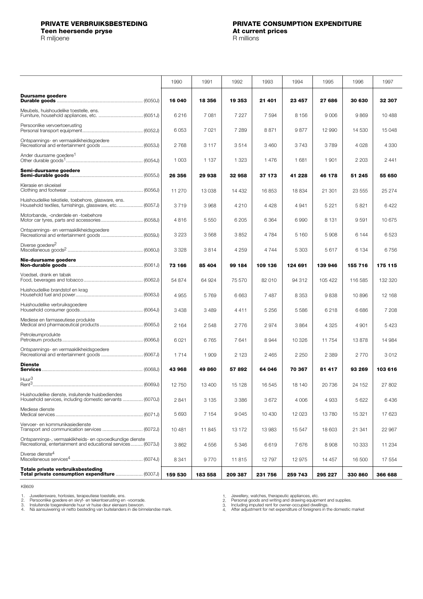## <span id="page-7-0"></span>**PRIVATE VERBRUIKSBESTEDING PRIVATE CONSUMPTION EXPENDITURE Teen heersende pryse At current prices and pricess and pricess and pricess and pricess and pricess and pricess and pricess and pricess and pricess and pricess and pricess and pricess and pricess and pricess and pricess**

|                                                                                                                          | 1990    | 1991    | 1992    | 1993    | 1994    | 1995    | 1996    | 1997    |
|--------------------------------------------------------------------------------------------------------------------------|---------|---------|---------|---------|---------|---------|---------|---------|
|                                                                                                                          |         |         |         |         |         |         |         |         |
| Duursame goedere                                                                                                         | 16 040  | 18 356  | 19 353  | 21 401  | 23 457  | 27 686  | 30 630  | 32 307  |
| Meubels, huishoudelike toestelle, ens.                                                                                   | 6216    | 7081    | 7 2 2 7 | 7 5 9 4 | 8 1 5 6 | 9 0 0 6 | 9869    | 10 488  |
| Persoonlike vervoertoerusting                                                                                            | 6053    | 7021    | 7 2 8 9 | 8871    | 9877    | 12 990  | 14 530  | 15 048  |
| Ontspannings- en vermaaklikheidsgoedere<br>Recreational and entertainment goods  (6053J)                                 | 2768    | 3 1 1 7 | 3514    | 3460    | 3743    | 3789    | 4 0 28  | 4 3 3 0 |
| Ander duursame goedere <sup>1</sup>                                                                                      | 1 0 0 3 | 1 1 3 7 | 1 3 2 3 | 1476    | 1681    | 1 901   | 2 2 0 3 | 2441    |
| Semi-duursame goedere                                                                                                    | 26 356  | 29 938  | 32 958  | 37 173  | 41 228  | 46 178  | 51 245  | 55 650  |
| Klerasie en skoeisel                                                                                                     | 11 270  | 13 0 38 | 14 4 32 | 16853   | 18834   | 21 301  | 23 555  | 25 274  |
| Huishoudelike tekstiele, toebehore, glasware, ens.<br>Household textiles, furnishings, glassware, etc.  (6057J)          | 3719    | 3968    | 4 2 1 0 | 4428    | 4 9 4 1 | 5 2 2 1 | 5821    | 6422    |
| Motorbande, -onderdele en -toebehore                                                                                     | 4816    | 5 5 5 0 | 6 2 0 5 | 6 3 6 4 | 6990    | 8 1 3 1 | 9591    | 10675   |
| Ontspannings- en vermaaklikheidsgoedere<br>Recreational and entertainment goods  (6059J)                                 | 3 2 2 3 | 3568    | 3852    | 4784    | 5 160   | 5908    | 6 1 4 4 | 6523    |
| Diverse goedere <sup>2</sup>                                                                                             | 3 3 2 8 | 3814    | 4 2 5 9 | 4744    | 5 303   | 5617    | 6 1 3 4 | 6756    |
| Nie-duursame goedere                                                                                                     | 73 166  | 85 404  | 99 184  | 109 136 | 124 691 | 139 946 | 155 716 | 175 115 |
| Voedsel, drank en tabak                                                                                                  | 54 874  | 64 924  | 75 570  | 82 010  | 94 312  | 105 422 | 116 585 | 132 320 |
| Huishoudelike brandstof en krag                                                                                          | 4 9 5 5 | 5769    | 6 6 6 3 | 7487    | 8 3 5 3 | 9838    | 10896   | 12 168  |
| Huishoudelike verbruiksgoedere                                                                                           | 3 4 3 8 | 3 4 8 9 | 4411    | 5 2 5 6 | 5586    | 6218    | 6686    | 7 208   |
| Mediese en farmaseutiese produkte                                                                                        | 2 1 6 4 | 2548    | 2776    | 2974    | 3864    | 4 3 2 5 | 4 9 0 1 | 5423    |
| Petroleumprodukte                                                                                                        | 6 0 21  | 6765    | 7641    | 8944    | 10 326  | 11754   | 13878   | 14 984  |
| Ontspannings- en vermaaklikheidsgoedere                                                                                  | 1 7 1 4 | 1 909   | 2 1 2 3 | 2 4 6 5 | 2 2 5 0 | 2 3 8 9 | 2770    | 3012    |
| <b>Dienste</b>                                                                                                           | 43 968  | 49 860  | 57892   | 64 046  | 70 367  | 81 417  | 93 269  | 103 616 |
| Huur <sup>3</sup>                                                                                                        | 12 750  | 13 400  | 15 128  | 16 545  | 18 140  | 20736   | 24 152  | 27 802  |
| Huishoudelike dienste, insluitende huisbediendes<br>Household services, including domestic servants  (6070J)             | 2841    | 3 1 3 5 | 3 3 8 6 | 3672    | 4 0 0 6 | 4933    | 5 6 22  | 6436    |
| Mediese dienste                                                                                                          | 5 6 9 3 | 7 1 5 4 | 9045    | 10 430  | 12 023  | 13780   | 15 321  | 17 623  |
| Vervoer- en kommunikasiedienste                                                                                          | 10 481  | 11845   | 13 172  | 13 983  | 15 547  | 18 603  | 21 341  | 22 967  |
| Ontspannings-, vermaaklikheids- en opvoedkundige dienste<br>Recreational, entertainment and educational services (6073J) | 3862    | 4556    | 5 3 4 6 | 6619    | 7676    | 8908    | 10 333  | 11 234  |
| Diverse dienste <sup>4</sup>                                                                                             | 8 3 4 1 | 9770    | 11815   | 12797   | 12 975  | 14 457  | 16 500  | 17 554  |
| Totale private verbruiksbesteding<br>Total private consumption expenditure  (6007J)                                      | 159 530 | 183 558 | 209 387 | 231 756 | 259 743 | 295 227 | 330 860 | 366 688 |

KB609

1.

2. 3. 4.

Juweliersware, horlosies, terapeutiese toestelle, ens.<br>Persoonlike goedere en skryf- en tekentoerusting en -voorrade.<br>Insluitende toegerekende huur vir huise deur eienaars bewoon.<br>Ná aansuiwering vir netto besteding van bu

Jewellery, watches, therapeutic appliances, etc.<br>Personal goods and writing and drawing equipment and supplies.<br>Including imputed rent for owner-occupied dwellings.<br>After adjustment for net expenditure of foreigners in the 1. 2. 3. 4.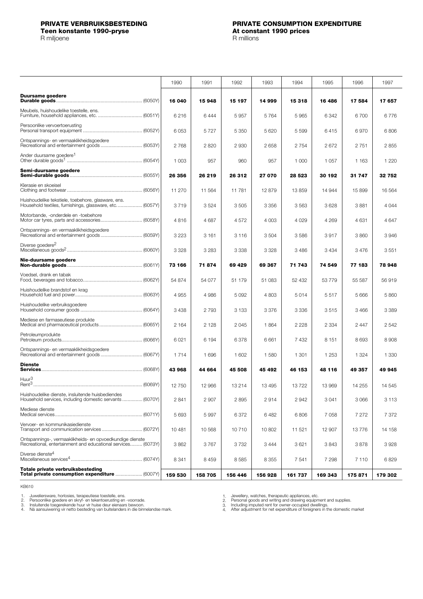<span id="page-8-0"></span>**Teen konstante 1990-pryse**<br> **At constant 1990-pryse**<br> **A** millions

|                                                                                                                          | 1990    | 1991    | 1992    | 1993    | 1994    | 1995    | 1996    | 1997    |
|--------------------------------------------------------------------------------------------------------------------------|---------|---------|---------|---------|---------|---------|---------|---------|
| <b>Duursame goedere</b>                                                                                                  | 16 040  | 15 948  | 15 197  | 14 999  | 15 318  | 16486   | 17 584  | 17657   |
| Meubels, huishoudelike toestelle, ens.                                                                                   | 6216    | 6444    | 5957    | 5764    | 5965    | 6342    | 6700    | 6776    |
| Persoonlike vervoertoerusting                                                                                            | 6053    | 5727    | 5 3 5 0 | 5 6 20  | 5 5 9 9 | 6415    | 6970    | 6806    |
| Ontspannings- en vermaaklikheidsgoedere                                                                                  | 2768    | 2820    | 2930    | 2658    | 2 7 5 4 | 2672    | 2751    | 2855    |
| Ander duursame goedere <sup>1</sup>                                                                                      | 1 0 0 3 | 957     | 960     | 957     | 1 000   | 1 0 5 7 | 1 1 6 3 | 1 2 2 0 |
| Semi-duursame goedere                                                                                                    | 26 356  | 26 219  | 26 312  | 27 070  | 28 5 23 | 30 192  | 31 747  | 32 752  |
| Klerasie en skoeisel                                                                                                     | 11 270  | 11 5 64 | 11781   | 12879   | 13859   | 14 944  | 15 899  | 16 5 64 |
| Huishoudelike tekstiele, toebehore, glasware, ens.<br>Household textiles, furnishings, glassware, etc (6057Y)            | 3719    | 3524    | 3505    | 3 3 5 6 | 3563    | 3628    | 3881    | 4 0 4 4 |
| Motorbande, -onderdele en -toebehore                                                                                     | 4816    | 4687    | 4572    | 4 0 0 3 | 4 0 2 9 | 4 2 6 9 | 4 6 3 1 | 4647    |
| Ontspannings- en vermaaklikheidsgoedere                                                                                  | 3 2 2 3 | 3 1 6 1 | 3 1 1 6 | 3 5 0 4 | 3586    | 3917    | 3860    | 3946    |
| Diverse goedere <sup>2</sup>                                                                                             | 3 3 2 8 | 3 2 8 3 | 3 3 3 8 | 3 3 2 8 | 3486    | 3 4 3 4 | 3476    | 3551    |
| Nie-duursame goedere                                                                                                     | 73 166  | 71874   | 69 429  | 69 367  | 71 743  | 74 549  | 77 183  | 78 948  |
| Voedsel, drank en tabak                                                                                                  | 54 874  | 54 077  | 51 179  | 51 083  | 52 432  | 53779   | 55 587  | 56919   |
| Huishoudelike brandstof en krag                                                                                          | 4 9 5 5 | 4 9 8 6 | 5 0 9 2 | 4 8 0 3 | 5014    | 5517    | 5 6 6 6 | 5860    |
| Huishoudelike verbruiksgoedere                                                                                           | 3 4 3 8 | 2 7 9 3 | 3 1 3 3 | 3376    | 3 3 3 6 | 3515    | 3 4 6 6 | 3 3 8 9 |
| Mediese en farmaseutiese produkte                                                                                        | 2 1 6 4 | 2 1 2 8 | 2 0 4 5 | 1864    | 2 2 2 8 | 2 334   | 2 4 4 7 | 2 5 4 2 |
| Petroleumprodukte                                                                                                        | 6 0 21  | 6 1 9 4 | 6378    | 6661    | 7 4 3 2 | 8 1 5 1 | 8693    | 8 9 0 8 |
| Ontspannings- en vermaaklikheidsgoedere<br>Recreational and entertainment goods  (6067Y)                                 | 1714    | 1696    | 1 602   | 1580    | 1 3 0 1 | 1 2 5 3 | 1 3 2 4 | 1 3 3 0 |
| <b>Dienste</b>                                                                                                           | 43 968  | 44 664  | 45 508  | 45 492  | 46 153  | 48 116  | 49 357  | 49 945  |
| Huur <sup>3</sup>                                                                                                        | 12750   | 12 966  | 13 214  | 13 4 95 | 13722   | 13 969  | 14 255  | 14 5 45 |
| Huishoudelike dienste, insluitende huisbediendes<br>Household services, including domestic servants  (6070Y)             | 2841    | 2 9 0 7 | 2895    | 2914    | 2942    | 3 0 4 1 | 3 0 6 6 | 3 1 1 3 |
| Mediese dienste                                                                                                          | 5 6 9 3 | 5997    | 6372    | 6482    | 6806    | 7058    | 7 272   | 7 372   |
| Vervoer- en kommunikasiedienste                                                                                          | 10481   | 10 568  | 10710   | 10802   | 11 521  | 12 907  | 13776   | 14 158  |
| Ontspannings-, vermaaklikheids- en opvoedkundige dienste<br>Recreational, entertainment and educational services (6073Y) | 3862    | 3767    | 3732    | 3444    | 3621    | 3843    | 3878    | 3928    |
| Diverse dienste <sup>4</sup>                                                                                             | 8 3 4 1 | 8459    | 8585    | 8 3 5 5 | 7 541   | 7 2 9 8 | 7 1 1 0 | 6829    |
| Totale private verbruiksbesteding<br>Total private consumption expenditure  (6007Y)                                      | 159 530 | 158 705 | 156 446 | 156 928 | 161 737 | 169 343 | 175 871 | 179 302 |

KB610

1.

2. 3. 4.

Juweliersware, horlosies, terapeutiese toestelle, ens.<br>Persoonlike goedere en skryf- en tekentoerusting en -voorrade.<br>Insluitende toegerekende huur vir huise deur eienaars bewoon.<br>Ná aansuiwering vir netto besteding van bu

1. 2. 3. 4.

Jewellery, watches, therapeutic appliances, etc.<br>Personal goods and writing and drawing equipment and supplies.<br>Including imputed rent for owner-occupied dwellings.<br>After adjustment for net expenditure of foreigners in the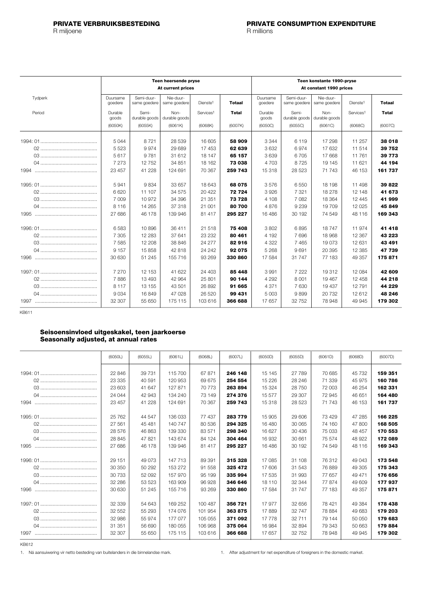<span id="page-9-0"></span>

|         |                     | Teen heersende pryse<br>At current prices |                           |                       |         |                     | Teen konstante 1990-pryse<br>At constant 1990 prices |                           |                       |               |  |  |
|---------|---------------------|-------------------------------------------|---------------------------|-----------------------|---------|---------------------|------------------------------------------------------|---------------------------|-----------------------|---------------|--|--|
| Tydperk | Duursame<br>goedere | Semi-duur-<br>same goedere                | Nie-duur-<br>same goedere | Dienste <sup>1</sup>  | Totaal  | Duursame<br>goedere | Semi-duur-<br>same goedere                           | Nie-duur-<br>same goedere | Dienste <sup>1</sup>  | <b>Totaal</b> |  |  |
| Period  | Durable<br>goods    | Semi-<br>durable goods                    | Non-<br>durable goods     | Services <sup>1</sup> | Total   | Durable<br>goods    | Semi-<br>durable goods                               | Non-<br>durable goods     | Services <sup>1</sup> | <b>Total</b>  |  |  |
|         | (6050K)             | (6055K)                                   | (6061K)                   | (6068K)               | (6007K) | (6050C)             | (6055C)                                              | (6061C)                   | (6068C)               | (6007C)       |  |  |
|         | 5044                | 8721                                      | 28 539                    | 16 605                | 58 909  | 3 3 4 4             | 6 1 1 9                                              | 17 298                    | 11 257                | 38 018        |  |  |
|         | 5 5 2 3             | 9974                                      | 29 689                    | 17 453                | 62 639  | 3632                | 6974                                                 | 17 632                    | 11514                 | 39 752        |  |  |
|         | 5617                | 9781                                      | 31 612                    | 18 147                | 65 157  | 3639                | 6705                                                 | 17 668                    | 11761                 | 39 7 7 3      |  |  |
|         | 7 2 7 3             | 12752                                     | 34 851                    | 18 162                | 73 038  | 4 7 0 3             | 8725                                                 | 19 145                    | 11 621                | 44 194        |  |  |
|         | 23 457              | 41 228                                    | 124 691                   | 70 367                | 259 743 | 15 318              | 28 5 23                                              | 71 743                    | 46 153                | 161 737       |  |  |
|         | 5941                | 9834                                      | 33 657                    | 18643                 | 68 075  | 3576                | 6550                                                 | 18 198                    | 11 498                | 39822         |  |  |
|         | 6620                | 11 107                                    | 34 575                    | 20 4 22               | 72724   | 3926                | 7 3 2 1                                              | 18 278                    | 12 148                | 41 673        |  |  |
|         | 7 0 0 9             | 10 972                                    | 34 396                    | 21 351                | 73 728  | 4 1 0 8             | 7082                                                 | 18 3 64                   | 12 4 4 5              | 41999         |  |  |
|         | 8 1 1 6             | 14 265                                    | 37 318                    | 21 001                | 80 700  | 4876                | 9 2 3 9                                              | 19709                     | 12 0 25               | 45849         |  |  |
|         | 27 686              | 46 178                                    | 139 946                   | 81 417                | 295 227 | 16 4 8 6            | 30 192                                               | 74 549                    | 48 116                | 169 343       |  |  |
|         | 6583                | 10896                                     | 36 411                    | 21 518                | 75 408  | 3802                | 6895                                                 | 18747                     | 11 974                | 41 418        |  |  |
|         | 7 3 0 5             | 12 2 8 3                                  | 37 641                    | 23 232                | 80 461  | 4 1 9 2             | 7696                                                 | 18968                     | 12 3 67               | 43 223        |  |  |
|         | 7585                | 12 208                                    | 38 846                    | 24 277                | 82916   | 4 3 2 2             | 7465                                                 | 19073                     | 12 631                | 43 491        |  |  |
|         | 9 1 5 7             | 15 858                                    | 42 818                    | 24 24 2               | 92 075  | 5 2 6 8             | 9691                                                 | 20 395                    | 12 3 8 5              | 47 739        |  |  |
|         | 30 630              | 51 245                                    | 155 716                   | 93 269                | 330 860 | 17584               | 31 747                                               | 77 183                    | 49 357                | 175 871       |  |  |
|         | 7 2 7 0             | 12 153                                    | 41 622                    | 24 403                | 85 448  | 3991                | 7 2 2 2                                              | 19312                     | 12 084                | 42 609        |  |  |
|         | 7886                | 13 493                                    | 42 964                    | 25 801                | 90 144  | 4 2 9 2             | 8 0 0 1                                              | 19 467                    | 12 458                | 44 218        |  |  |
|         | 8 1 1 7             | 13 155                                    | 43 501                    | 26 892                | 91 665  | 4 3 7 1             | 7630                                                 | 19 437                    | 12 791                | 44 229        |  |  |
|         | 9 0 3 4             | 16849                                     | 47 0 28                   | 26 5 20               | 99 431  | 5 0 0 3             | 9899                                                 | 20732                     | 12 612                | 48 246        |  |  |
|         | 32 307              | 55 650                                    | 175 115                   | 103 616               | 366 688 | 17657               | 32 752                                               | 78 948                    | 49 945                | 179 302       |  |  |

KB611

### **Seisoensinvloed uitgeskakel, teen jaarkoerse Seasonally adjusted, at annual rates**

|      | (6050L) | (6055L) | (6061L) | (6068L) | (6007L) | (6050D) | (6055D) | (6061D) | (6068D) | (6007D) |
|------|---------|---------|---------|---------|---------|---------|---------|---------|---------|---------|
|      | 22 846  | 39 731  | 115700  | 67 871  | 246 148 | 15 145  | 27 789  | 70 685  | 45 732  | 159 351 |
|      | 23 335  | 40 591  | 120 953 | 69 675  | 254 554 | 15 2 26 | 28 24 6 | 71 339  | 45 975  | 160 786 |
|      | 23 603  | 41 647  | 127 871 | 70 773  | 263894  | 15 3 24 | 28750   | 72 003  | 46 254  | 162 331 |
|      | 24 044  | 42 943  | 134 240 | 73 149  | 274 376 | 15 577  | 29 307  | 72 945  | 46 651  | 164 480 |
| 1994 | 23 457  | 41 228  | 124 691 | 70 367  | 259 743 | 15 318  | 28 5 23 | 71 743  | 46 153  | 161 737 |
|      |         |         |         |         |         |         |         |         |         |         |
|      | 25 7 62 | 44 547  | 136 033 | 77437   | 283779  | 15 905  | 29 606  | 73 429  | 47 285  | 166 225 |
|      | 27 561  | 45 481  | 140 747 | 80 536  | 294 325 | 16 480  | 30 065  | 74 160  | 47800   | 168 505 |
|      | 28 576  | 46 863  | 139 330 | 83 571  | 298 340 | 16 627  | 30 436  | 75 033  | 48 457  | 170 553 |
|      | 28 845  | 47821   | 143 674 | 84 124  | 304 464 | 16 932  | 30 661  | 75 574  | 48 922  | 172 089 |
| 1995 | 27 686  | 46 178  | 139 946 | 81 417  | 295 227 | 16486   | 30 192  | 74 549  | 48 116  | 169 343 |
|      |         |         |         |         |         |         |         |         |         |         |
|      | 29 151  | 49 0 73 | 147 713 | 89 391  | 315 328 | 17 085  | 31 108  | 76 312  | 49 043  | 173 548 |
|      | 30 350  | 50 292  | 153 272 | 91 558  | 325 472 | 17 606  | 31 543  | 76889   | 49 305  | 175 343 |
|      | 30 733  | 52 092  | 157 970 | 95 199  | 335 994 | 17535   | 31 993  | 77 657  | 49 471  | 176 656 |
|      | 32 286  | 53 523  | 163 909 | 96928   | 346 646 | 18 110  | 32 344  | 77874   | 49 609  | 177937  |
| 1996 | 30 630  | 51 245  | 155 716 | 93 269  | 330 860 | 17 584  | 31 747  | 77 183  | 49 357  | 175871  |
|      |         |         |         |         |         |         |         |         |         |         |
|      | 32 339  | 54 643  | 169 252 | 100 487 | 356 721 | 17977   | 32 656  | 78 4 21 | 49 384  | 178 438 |
|      | 32 552  | 55 293  | 174 076 | 101 954 | 363875  | 17889   | 32747   | 78 884  | 49 683  | 179 203 |
|      | 32 986  | 55 974  | 177 077 | 105 055 | 371 092 | 17778   | 32 711  | 79 144  | 50 050  | 179 683 |
|      | 31 351  | 56 690  | 180 055 | 106 968 | 375 064 | 16 984  | 32 894  | 79 343  | 50 663  | 179884  |
| 1997 | 32 307  | 55 650  | 175 115 | 103 616 | 366 688 | 17 657  | 32 752  | 78 948  | 49 945  | 179 302 |

KB612

1. Ná aansuiwering vir netto besteding van buitelanders in die binnelandse mark. 1. After adjustment for net expenditure of foreigners in the domestic market.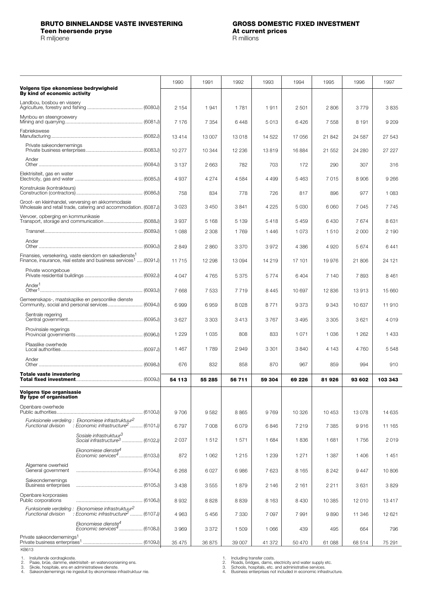<span id="page-10-0"></span>

| Volgens tipe ekonomiese bedrywigheid                                                                                                            | 1990    | 1991    | 1992    | 1993    | 1994    | 1995    | 1996    | 1997    |
|-------------------------------------------------------------------------------------------------------------------------------------------------|---------|---------|---------|---------|---------|---------|---------|---------|
| By kind of economic activity                                                                                                                    |         |         |         |         |         |         |         |         |
| Landbou, bosbou en vissery                                                                                                                      | 2 1 5 4 | 1941    | 1781    | 1911    | 2501    | 2 8 0 6 | 3779    | 3835    |
| Mynbou en steengroewery                                                                                                                         | 7 1 7 6 | 7 3 5 4 | 6448    | 5013    | 6426    | 7 5 5 8 | 8 1 9 1 | 9 2 0 9 |
| Fabriekswese                                                                                                                                    | 13414   | 13 007  | 13018   | 14 522  | 17 056  | 21842   | 24 587  | 27 543  |
| Private sakeondernemings                                                                                                                        | 10 277  | 10 344  | 12 2 36 | 13819   | 16884   | 21 552  | 24 280  | 27 227  |
| Ander                                                                                                                                           | 3 1 3 7 | 2 6 6 3 | 782     | 703     | 172     | 290     | 307     | 316     |
| Elektrisiteit, gas en water                                                                                                                     | 4937    | 4 2 7 4 | 4584    | 4 4 9 9 | 5463    | 7015    | 8 9 0 6 | 9 2 6 6 |
| Konstruksie (kontrakteurs)                                                                                                                      | 758     | 834     | 778     | 726     | 817     | 896     | 977     | 1 0 8 3 |
| Groot- en kleinhandel, verversing en akkommodasie<br>Wholesale and retail trade, catering and accommodation. (6087J)                            | 3023    | 3450    | 3841    | 4 2 2 5 | 5 0 3 0 | 6 0 6 0 | 7045    | 7745    |
| Vervoer, opberging en kommunikasie                                                                                                              | 3937    | 5 1 6 8 | 5 1 3 9 | 5418    | 5 4 5 9 | 6430    | 7674    | 8631    |
|                                                                                                                                                 | 1 0 8 8 | 2 3 0 8 | 1769    | 1446    | 1 0 7 3 | 1510    | 2 0 0 0 | 2 190   |
| Ander                                                                                                                                           | 2849    | 2860    | 3 3 7 0 | 3972    | 4 3 8 6 | 4 9 20  | 5674    | 6441    |
| Finansies, versekering, vaste eiendom en sakedienste <sup>1</sup><br>Finance, insurance, real estate and business services <sup>1</sup> (6091J) | 11715   | 12 298  | 13 0 94 | 14 219  | 17 101  | 19976   | 21 806  | 24 121  |
| Private woongeboue                                                                                                                              | 4 0 4 7 | 4765    | 5 3 7 5 | 5774    | 6 4 0 4 | 7 140   | 7893    | 8461    |
| Ander <sup>1</sup>                                                                                                                              | 7668    | 7533    | 7719    | 8 4 4 5 | 10 697  | 12836   | 13913   | 15 660  |
| Gemeenskaps-, maatskaplike en persoonlike dienste<br>Community, social and personal services (6094J)                                            | 6999    | 6959    | 8028    | 8771    | 9373    | 9 3 4 3 | 10 637  | 11910   |
| Sentrale regering                                                                                                                               | 3627    | 3 3 0 3 | 3413    | 3767    | 3 4 9 5 | 3 3 0 5 | 3621    | 4019    |
| Provinsiale regerings                                                                                                                           | 1 2 2 9 | 1 0 3 5 | 808     | 833     | 1071    | 1 0 3 6 | 1 2 6 2 | 1 4 3 3 |
| Plaaslike owerhede                                                                                                                              | 1 4 6 7 | 1789    | 2949    | 3 3 0 1 | 3840    | 4 1 4 3 | 4760    | 5548    |
| Ander                                                                                                                                           | 676     | 832     | 858     | 870     | 967     | 859     | 994     | 910     |
| <b>Totale vaste investering</b>                                                                                                                 | 54 113  | 55 285  | 56 711  | 59 304  | 69 226  | 81926   | 93 602  | 103 343 |
| <b>Volgens tipe organisasie</b>                                                                                                                 |         |         |         |         |         |         |         |         |
| By type of organisation<br>Openbare owerhede                                                                                                    |         |         |         |         |         |         |         |         |
| Funksionele verdeling : Ekonomiese infrastruktuur <sup>2</sup>                                                                                  | 9706    | 9582    | 8865    | 9769    | 10 326  | 10 453  | 13078   | 14 635  |
| $\check{\phantom{a}}$ : Economic infrastructure $^2$ (6101J)<br><b>Functional division</b>                                                      | 6797    | 7 0 0 8 | 6079    | 6846    | 7 2 1 9 | 7 3 8 5 | 9916    | 11 165  |
| Sosiale infrastruktuur <sup>3</sup><br>Social infrastructure <sup>3</sup> (6102J)                                                               | 2037    | 1512    | 1571    | 1 684   | 1836    | 1681    | 1756    | 2019    |
| Ekonomiese dienste <sup>4</sup><br>Economic services <sup>4</sup> (6103J)                                                                       | 872     | 1 0 6 2 | 1 2 1 5 | 1 2 3 9 | 1 2 7 1 | 1 3 8 7 | 1 4 0 6 | 1451    |
| Algemene owerheid<br>General government                                                                                                         | 6 2 6 8 | 6 0 27  | 6986    | 7623    | 8 1 6 5 | 8 2 4 2 | 9447    | 10806   |
| Sakeondernemings<br>Business enterprises                                                                                                        | 3438    | 3555    | 1879    | 2 146   | 2 1 6 1 | 2 2 1 1 | 3631    | 3829    |
| Openbare korporasies<br>Public corporations                                                                                                     | 8932    | 8828    | 8839    | 8 1 6 3 | 8 4 3 0 | 10 385  | 12010   | 13 417  |
| Funksionele verdeling: Ekonomiese infrastruktuur <sup>2</sup><br>: Economic infrastructure <sup>2</sup> (6107J)<br>Functional division          | 4963    | 5 4 5 6 | 7 3 3 0 | 7 0 9 7 | 7 9 9 1 | 9890    | 11 346  | 12 621  |
| Ekonomiese dienstę <sup>4</sup><br>Economic services <sup>4</sup> (6108J)                                                                       | 3969    | 3 3 7 2 | 1 509   | 1 0 6 6 | 439     | 495     | 664     | 796     |
| Private sakeondernemings <sup>1</sup>                                                                                                           | 35 475  | 36 875  | 39 007  | 41 372  | 50 470  | 61 088  | 68 514  | 75 291  |

KB613

1. 2. 3. 4.

Insluitende oordragkoste. Paaie, brûe, damme, elektrisiteit- en watervoorsiening ens. Skole, hospitale, ens en administratiewe dienste. Sakeondernemings nie ingesluit by ekonomiese infrastruktuur nie.

1. 2. 3. 4.

Including transfer costs. Roads, bridges, dams, electricity and water supply etc. Schools, hospitals, etc. and administrative services. Business enterprises not included in economic infrastructure.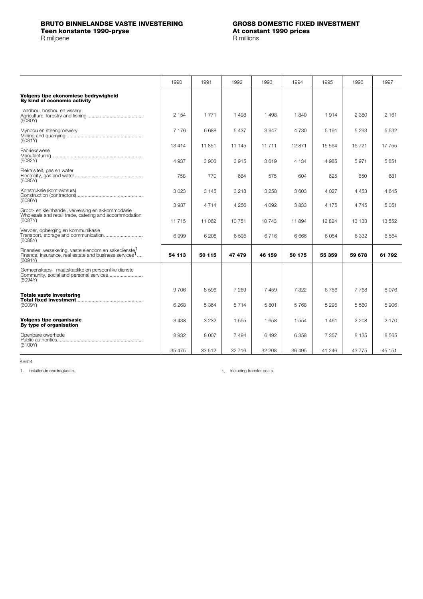<span id="page-11-0"></span>

|                                                                                                                                                    | 1990    | 1991    | 1992    | 1993    | 1994    | 1995    | 1996    | 1997    |
|----------------------------------------------------------------------------------------------------------------------------------------------------|---------|---------|---------|---------|---------|---------|---------|---------|
| Volgens tipe ekonomiese bedrywigheid<br>By kind of economic activity                                                                               |         |         |         |         |         |         |         |         |
| Landbou, bosbou en vissery<br>(6080Y)                                                                                                              | 2 1 5 4 | 1 7 7 1 | 1498    | 1498    | 1840    | 1914    | 2 3 8 0 | 2 161   |
| Mynbou en steengroewery<br>(6081Y)                                                                                                                 | 7 1 7 6 | 6688    | 5 4 3 7 | 3947    | 4 7 3 0 | 5 1 9 1 | 5 2 9 3 | 5 5 3 2 |
| Fabriekswese                                                                                                                                       | 13414   | 11851   | 11 145  | 11 711  | 12 871  | 15 5 64 | 16721   | 17 755  |
| (6082Y)                                                                                                                                            | 4 9 3 7 | 3 9 0 6 | 3915    | 3619    | 4 1 3 4 | 4 9 8 5 | 5971    | 5851    |
| Elektrisiteit, gas en water<br>(6085Y)                                                                                                             | 758     | 770     | 664     | 575     | 604     | 625     | 650     | 681     |
| Konstruksie (kontrakteurs)<br>(6086Y)                                                                                                              | 3023    | 3 1 4 5 | 3 2 1 8 | 3 2 5 8 | 3603    | 4 0 27  | 4 4 5 3 | 4645    |
|                                                                                                                                                    | 3 9 3 7 | 4 7 1 4 | 4 2 5 6 | 4 0 9 2 | 3833    | 4 1 7 5 | 4 7 4 5 | 5051    |
| Groot- en kleinhandel, verversing en akkommodasie<br>Wholesale and retail trade, catering and accommodation<br>(6087Y)                             | 11 7 15 | 11 062  | 10751   | 10743   | 11 894  | 12824   | 13 133  | 13 552  |
| Vervoer, opberging en kommunikasie<br>(6088)                                                                                                       | 6999    | 6 208   | 6595    | 6716    | 6666    | 6 0 5 4 | 6 3 3 2 | 6 564   |
| Finansies, versekering, vaste eiendom en sakedienste <sup>1</sup><br>Finance, insurance, real estate and business services <sup>1</sup><br>(6091Y) | 54 113  | 50 115  | 47 479  | 46 159  | 50 175  | 55 359  | 59 678  | 61 792  |
| Gemeenskaps-, maatskaplike en persoonlike dienste<br>(6094Y)                                                                                       |         |         |         |         |         |         |         |         |
| <b>Totale vaste investering</b>                                                                                                                    | 9706    | 8596    | 7 269   | 7459    | 7 322   | 6 7 5 6 | 7 7 6 8 | 8076    |
| (6009Y)                                                                                                                                            | 6 2 6 8 | 5 3 6 4 | 5714    | 5801    | 5768    | 5 2 9 5 | 5 5 6 0 | 5906    |
| <b>Volgens tipe organisasie</b><br>By type of organisation                                                                                         | 3438    | 3 2 3 2 | 1555    | 1658    | 1 5 5 4 | 1461    | 2 2 0 8 | 2 170   |
| Openbare owerhede<br>(6100Y)                                                                                                                       | 8932    | 8 0 0 7 | 7494    | 6492    | 6 3 5 8 | 7 3 5 7 | 8 1 3 5 | 8565    |
|                                                                                                                                                    | 35 475  | 33 512  | 32 716  | 32 208  | 36 495  | 41 246  | 43775   | 45 151  |

KB614

1. Insluitende oordragkoste. 1. Including transfer costs.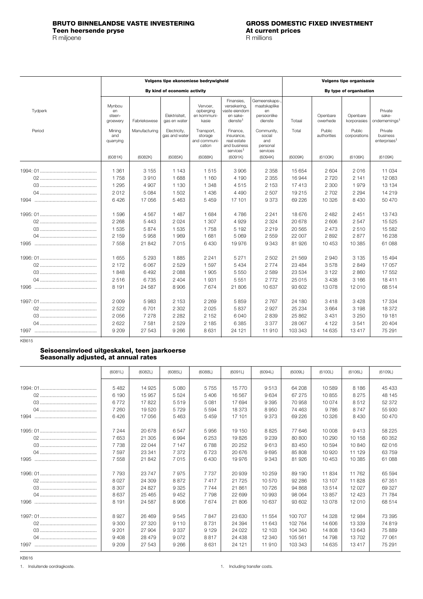### <span id="page-12-0"></span>**BRUTO BINNELANDSE VASTE INVESTERING GROSS DOMESTIC FIXED INVESTMENT Teen heersende pryse At current prices and pricess and pricess and pricess and pricess and pricess and pricess and pricess and pricess and pricess and pricess and pricess and pricess and pricess and pricess and pricess** R miljoene

|         |                                    | Volgens tipe ekonomiese bedrywigheid |                                |                                                 |                                                                                 |                                                               |                  | <b>Volgens tipe organisasie</b> |                         |                                                 |  |  |  |
|---------|------------------------------------|--------------------------------------|--------------------------------|-------------------------------------------------|---------------------------------------------------------------------------------|---------------------------------------------------------------|------------------|---------------------------------|-------------------------|-------------------------------------------------|--|--|--|
|         |                                    |                                      | By kind of economic activity   |                                                 |                                                                                 |                                                               |                  |                                 | By type of organisation |                                                 |  |  |  |
| Tydperk | Mynbou<br>en<br>steen-<br>groewery | Fabriekswese                         | Elektrisiteit.<br>gas en water | Vervoer.<br>opberging<br>en kommuni-<br>kasie   | Finansies.<br>versekering,<br>vaste eiendom<br>en sake-<br>dienste <sup>1</sup> | Gemeenskaps-,<br>maatskaplike<br>en<br>persoonlike<br>dienste | Totaal           | Openbare<br>owerhede            | Openbare<br>korporasies | Private<br>sake-<br>ondernemings <sup>1</sup>   |  |  |  |
| Period  | Mining<br>and<br>quarrying         | Manufacturing                        | Electricity,<br>gas and water  | Transport,<br>storage<br>and communi-<br>cation | Finance,<br>insurance.<br>real estate<br>and business<br>services <sup>1</sup>  | Community,<br>social<br>and<br>personal<br>services           | Total            | Public<br>authorities           | Public<br>corporations  | Private<br>business<br>enterprises <sup>1</sup> |  |  |  |
|         | (6081K)                            | (6082K)                              | (6085K)                        | (6088K)                                         | (6091K)                                                                         | (6094K)                                                       | (6009K)          | (6100K)                         | (6106K)                 | (6109K)                                         |  |  |  |
|         | 1 3 6 1<br>1758                    | 3 1 5 5<br>3910                      | 1 1 4 3<br>1688                | 1515<br>1 1 6 0                                 | 3 9 0 6<br>4 190                                                                | 2 3 5 8<br>2 3 5 5                                            | 15 654<br>16 944 | 2 604<br>2720                   | 2016<br>2 1 4 1         | 11 034<br>12 083                                |  |  |  |
|         | 1 2 9 5                            | 4 9 0 7                              | 1 1 3 0                        | 1 3 4 8                                         | 4515                                                                            | 2 1 5 3                                                       | 17413            | 2 3 0 0                         | 1979                    | 13 134                                          |  |  |  |
|         | 2012                               | 5 0 8 4                              | 1 502                          | 1436                                            | 4 4 9 0                                                                         | 2 5 0 7                                                       | 19 215           | 2702                            | 2 2 9 4                 | 14 219                                          |  |  |  |
| 1994    | 6426                               | 17 056                               | 5 4 6 3                        | 5 4 5 9                                         | 17 101                                                                          | 9373                                                          | 69 226           | 10 326                          | 8 4 3 0                 | 50 470                                          |  |  |  |
|         | 1596                               | 4567                                 | 1 4 8 7                        | 1 684                                           | 4786                                                                            | 2 2 4 1                                                       | 18 676           | 2 4 8 2                         | 2 4 5 1                 | 13743                                           |  |  |  |
|         | 2 2 6 8                            | 5443                                 | 2 0 2 4                        | 1 307                                           | 4929                                                                            | 2 3 2 4                                                       | 20 678           | 2 606                           | 2 5 4 7                 | 15 5 25                                         |  |  |  |
|         | 1 5 3 5                            | 5874                                 | 1 5 3 5                        | 1758                                            | 5 1 9 2                                                                         | 2 2 1 9                                                       | 20 5 65          | 2 4 7 3                         | 2510                    | 15 5 82                                         |  |  |  |
| 1995    | 2 1 5 9<br>7 5 5 8                 | 5958<br>21 842                       | 1969<br>7015                   | 1 681<br>6 4 3 0                                | 5 0 6 9<br>19 976                                                               | 2559<br>9 3 4 3                                               | 22 007<br>81 926 | 2892<br>10 453                  | 2877<br>10 385          | 16 238<br>61 088                                |  |  |  |
|         | 1655                               | 5 2 9 3                              | 1885                           | 2 2 4 1                                         | 5 2 7 1                                                                         | 2 5 0 2                                                       | 21 5 6 9         | 2940                            | 3 1 3 5                 | 15 4 94                                         |  |  |  |
|         | 2 172                              | 6 0 6 7                              | 2529                           | 1597                                            | 5 4 3 4                                                                         | 2 7 7 4                                                       | 23 4 84          | 3578                            | 2849                    | 17 057                                          |  |  |  |
|         | 1848                               | 6492                                 | 2088                           | 1 905                                           | 5 5 5 0                                                                         | 2 5 8 9                                                       | 23 5 34          | 3 1 2 2                         | 2860                    | 17 552                                          |  |  |  |
| 1996    | 2516<br>8 1 9 1                    | 6735<br>24 5 87                      | 2 4 0 4<br>8 9 0 6             | 1931<br>7674                                    | 5 5 5 1<br>21 806                                                               | 2772<br>10 637                                                | 25 015<br>93 602 | 3438<br>13 0 78                 | 3 1 6 6<br>12 010       | 18 411<br>68 514                                |  |  |  |
|         | 2 0 0 9                            | 5983                                 | 2 1 5 3                        | 2 2 6 9                                         | 5859                                                                            | 2 7 6 7                                                       | 24 180           | 3418                            | 3428                    | 17 334                                          |  |  |  |
|         | 2 5 2 2<br>2056                    | 6701<br>7 2 7 8                      | 2 3 0 2<br>2 2 8 2             | 2025<br>2 1 5 2                                 | 5837<br>6040                                                                    | 2927<br>2839                                                  | 25 234<br>25 862 | 3 6 6 4<br>3 4 3 1              | 3 1 9 8<br>3 2 5 0      | 18 372<br>19 181                                |  |  |  |
|         | 2622                               | 7 5 8 1                              | 2 5 2 9                        | 2 1 8 5                                         | 6385                                                                            | 3 3 7 7                                                       | 28 067           | 4 1 2 2                         | 3541                    | 20 404                                          |  |  |  |
|         | 9 2 0 9                            | 27 543                               | 9 2 6 6                        | 8 6 3 1                                         | 24 121                                                                          | 11 910                                                        | 103 343          | 14 635                          | 13 417                  | 75 291                                          |  |  |  |

KB615

## **Seisoensinvloed uitgeskakel, teen jaarkoerse Seasonally adjusted, at annual rates**

|      | (6081L)                    | (6082L)                     | (6085L)                 | (6088L)                 | (6091L)                    | (6094L)                   | (6009L)                    | (6100L)                 | (6106L)                     | (6109L)                    |
|------|----------------------------|-----------------------------|-------------------------|-------------------------|----------------------------|---------------------------|----------------------------|-------------------------|-----------------------------|----------------------------|
|      | 5482                       | 14 9 25                     | 5 0 8 0                 | 5755                    | 15770                      | 9513                      | 64 208                     | 10 589                  | 8 186                       | 45 433                     |
|      | 6 190                      | 15 957                      | 5 5 2 4                 | 5 4 0 6                 | 16 567                     | 9634                      | 67 275                     | 10855                   | 8 2 7 5                     | 48 145                     |
|      | 6772                       | 17822                       | 5519                    | 5 0 8 1                 | 17 694                     | 9 3 9 5                   | 70958                      | 10 0 74                 | 8512                        | 52 372                     |
|      | 7 2 6 0                    | 19520                       | 5729                    | 5 5 9 4                 | 18 373                     | 8950                      | 74 463                     | 9786                    | 8747                        | 55 930                     |
| 1994 | 6426                       | 17056                       | 5 4 6 3                 | 5 4 5 9                 | 17 101                     | 9373                      | 69 226                     | 10 3 26                 | 8 4 3 0                     | 50 470                     |
|      | 7 2 4 4                    | 20 678                      | 6547                    | 5956                    | 19 150                     | 8825                      | 77 646                     | 10 008                  | 9413                        | 58 225                     |
|      | 7653                       | 21 305                      | 6994                    | 6 2 5 3                 | 19826                      | 9 2 3 9                   | 80 800                     | 10 290                  | 10 158                      | 60 352                     |
|      | 7 7 3 8                    | 22 044                      | 7 1 4 7                 | 6788                    | 20 25 2                    | 9613                      | 83 450                     | 10 594                  | 10 840                      | 62 016                     |
|      | 7597                       | 23 341                      | 7 3 7 2                 | 6723                    | 20 676                     | 9695                      | 85 808                     | 10 9 20                 | 11 129                      | 63 759                     |
| 1995 | 7558                       | 21 842                      | 7015                    | 6430                    | 19976                      | 9 3 4 3                   | 81 926                     | 10 453                  | 10 3 85                     | 61 088                     |
|      | 7793                       | 23747                       | 7975                    | 7 7 3 7                 | 20 939                     | 10 259                    | 89 190                     | 11834                   | 11 762                      | 65 594                     |
|      | 8 0 27                     | 24 309                      | 8872                    | 7417                    | 21 7 25                    | 10 570                    | 92 286                     | 13 107                  | 11828                       | 67 351                     |
| 1996 | 8 3 0 7<br>8637<br>8 1 9 1 | 24 827<br>25 4 65<br>24 587 | 9 3 2 5<br>9452<br>8906 | 7 7 4 4<br>7798<br>7674 | 21 861<br>22 699<br>21 806 | 10726<br>10 993<br>10 637 | 94 868<br>98 064<br>93 602 | 13514<br>13857<br>13078 | 12 0 27<br>12 4 23<br>12010 | 69 327<br>71 784<br>68 514 |
|      | 8927                       | 26 469                      | 9545                    | 7847                    | 23 630                     | 11 554                    | 100 707                    | 14 3 28                 | 12 984                      | 73 395                     |
|      | 9 3 0 0                    | 27 3 20                     | 9 1 1 0                 | 8731                    | 24 394                     | 11 643                    | 102 764                    | 14 606                  | 13 339                      | 74 819                     |
|      | 9 2 0 1                    | 27 904                      | 9 3 3 7                 | 9 1 2 9                 | 24 0 22                    | 12 103                    | 104 340                    | 14 808                  | 13 643                      | 75889                      |
|      | 9408                       | 28 479                      | 9072                    | 8817                    | 24 4 38                    | 12 340                    | 105 561                    | 14798                   | 13702                       | 77 061                     |
| 1997 | 9 2 0 9                    | 27 543                      | 9 2 6 6                 | 8631                    | 24 121                     | 11910                     | 103 343                    | 14 635                  | 13417                       | 75 291                     |

KB616

1. Insluitende oordragkoste. 1. Including transfer costs.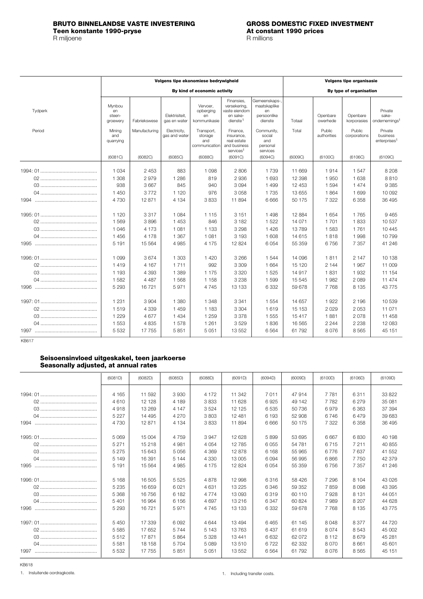### <span id="page-13-0"></span>**BRUTO BINNELANDSE VASTE INVESTERING GROSS DOMESTIC FIXED INVESTMENT Teen konstante 1990-pryse At constant 1990-pryse At constant 1990-pryse At const** R millions R miljoene

|         | Volgens tipe ekonomiese bedrywigheid |                    |                                |                                               |                                                                                 |                                                               | <b>Volgens tipe organisasie</b> |                       |                         |                                                 |  |
|---------|--------------------------------------|--------------------|--------------------------------|-----------------------------------------------|---------------------------------------------------------------------------------|---------------------------------------------------------------|---------------------------------|-----------------------|-------------------------|-------------------------------------------------|--|
|         |                                      |                    |                                | By kind of economic activity                  |                                                                                 |                                                               |                                 |                       | By type of organisation |                                                 |  |
| Tydperk | Mynbou<br>en<br>steen-<br>groewery   | Fabriekswese       | Elektrisiteit.<br>gas en water | Vervoer.<br>opberging<br>en<br>kommunikasie   | Finansies.<br>versekering,<br>vaste eiendom<br>en sake-<br>dienste <sup>1</sup> | Gemeenskaps-,<br>maatskaplike<br>en<br>persoonlike<br>dienste | Totaal                          | Openbare<br>owerhede  | Openbare<br>korporasies | Private<br>sake-<br>ondernemings <sup>1</sup>   |  |
| Period  | Mining<br>and<br>quarrying           | Manufacturing      | Electricity,<br>gas and water  | Transport,<br>storage<br>and<br>communication | Finance,<br>insurance,<br>real estate<br>and business<br>services <sup>1</sup>  | Community,<br>social<br>and<br>personal<br>services           | Total                           | Public<br>authorities | Public<br>corporations  | Private<br>business<br>enterprises <sup>1</sup> |  |
|         | (6081C)                              | (6082C)            | (6085C)                        | (6088C)                                       | (6091C)                                                                         | (6094C)                                                       | (6009C)                         | (6100C)               | (6106C)                 | (6109C)                                         |  |
|         | 1 0 3 4                              | 2453               | 883                            | 1 0 9 8                                       | 2806                                                                            | 1 7 3 9                                                       | 11 669                          | 1914                  | 1547                    | 8 2 0 8                                         |  |
|         | 1 3 0 8<br>938                       | 2979<br>3 6 6 7    | 1 2 8 6<br>845                 | 819<br>940                                    | 2936<br>3094                                                                    | 1 6 9 3<br>1499                                               | 12 3 98<br>12 453               | 1950<br>1 5 9 4       | 1638<br>1474            | 8810<br>9385                                    |  |
|         | 1 450                                | 3772               | 1 1 2 0                        | 976                                           | 3 0 5 8                                                                         | 1735                                                          | 13 655                          | 1864                  | 1699                    | 10 092                                          |  |
|         | 4 7 3 0                              | 12871              | 4 1 3 4                        | 3833                                          | 11 894                                                                          | 6 6 6 6                                                       | 50 175                          | 7 3 2 2               | 6 3 5 8                 | 36 4 95                                         |  |
|         | 1 1 2 0                              | 3317               | 1 0 8 4                        | 1 1 1 5                                       | 3 1 5 1                                                                         | 1498                                                          | 12 8 84                         | 1 6 5 4               | 1765                    | 9465                                            |  |
|         | 1 5 6 9                              | 3896               | 1 4 5 3                        | 846                                           | 3 1 8 2                                                                         | 1522                                                          | 14 071                          | 1701                  | 1833                    | 10537                                           |  |
|         | 1046                                 | 4 1 7 3            | 1 0 8 1                        | 1 1 3 3                                       | 3 2 9 8                                                                         | 1426                                                          | 13789                           | 1 5 8 3               | 1761                    | 10 4 45                                         |  |
|         | 1456                                 | 4 1 7 8            | 1 3 6 7                        | 1 0 8 1                                       | 3 1 9 3                                                                         | 1 608                                                         | 14 615                          | 1818                  | 1998                    | 10799                                           |  |
| 1995    | 5 1 9 1                              | 15 5 64            | 4 9 8 5                        | 4 1 7 5                                       | 12 8 24                                                                         | 6054                                                          | 55 359                          | 6756                  | 7 3 5 7                 | 41 246                                          |  |
|         | 1 0 9 9                              | 3674               | 1 303                          | 1420                                          | 3 2 6 6                                                                         | 1 5 4 4                                                       | 14 0 96                         | 1811                  | 2 1 4 7                 | 10 138                                          |  |
|         | 1419                                 | 4 1 6 7            | 1711                           | 992                                           | 3 3 0 9                                                                         | 1 6 6 4                                                       | 15 1 20                         | 2 1 4 4               | 1967                    | 11 009                                          |  |
|         | 1 1 9 3                              | 4 3 9 3            | 1 3 8 9                        | 1 1 7 5                                       | 3 3 2 0                                                                         | 1 5 2 5                                                       | 14 917                          | 1831                  | 1932                    | 11 154                                          |  |
|         | 1582                                 | 4 4 8 7            | 1568                           | 1 1 5 8                                       | 3 2 3 8                                                                         | 1599                                                          | 15 545                          | 1982                  | 2 0 8 9                 | 11 474                                          |  |
| 1996    | 5 2 9 3                              | 16721              | 5971                           | 4745                                          | 13 133                                                                          | 6 3 3 2                                                       | 59 678                          | 7768                  | 8 1 3 5                 | 43775                                           |  |
|         | 1 2 3 1<br>1519                      | 3 9 0 4<br>4 3 3 9 | 1 3 8 0<br>1459                | 1 3 4 8<br>1 1 8 3                            | 3 3 4 1<br>3 3 0 4                                                              | 1 5 5 4<br>1619                                               | 14 657<br>15 153                | 1922<br>2029          | 2 1 9 6<br>2053         | 10 539<br>11 071                                |  |
|         | 1 2 2 9                              | 4677               | 1 4 3 4                        | 1 2 5 9                                       | 3 3 7 8                                                                         | 1555                                                          | 15 417                          | 1881                  | 2078                    | 11 458                                          |  |
|         | 1 5 5 3                              | 4 8 3 5            | 1578                           | 1 2 6 1                                       | 3529                                                                            | 1836                                                          | 16 5 65                         | 2 2 4 4               | 2 2 3 8                 | 12 083                                          |  |
|         | 5 5 3 2                              | 17 755             | 5851                           | 5 0 5 1                                       | 13552                                                                           | 6564                                                          | 61792                           | 8076                  | 8565                    | 45 151                                          |  |

KB617

### **Seisoensinvloed uitgeskakel, teen jaarkoerse Seasonally adjusted, at annual rates**

|      | (6081D) | (6082D) | (6085D) | (6088D) | (6091D) | (6094D) | (6009D) | (6100D) | (6106D) | (6109D)  |
|------|---------|---------|---------|---------|---------|---------|---------|---------|---------|----------|
|      | 4 1 6 5 | 11 592  | 3930    | 4 1 7 2 | 11 342  | 7011    | 47914   | 7 7 8 1 | 6311    | 33822    |
|      | 4610    | 12 128  | 4 189   |         |         |         | 49 142  | 7782    | 6279    | 35 081   |
|      |         |         |         | 3833    | 11 628  | 6925    |         |         |         |          |
|      | 4918    | 13 269  | 4 1 4 7 | 3524    | 12 1 25 | 6535    | 50736   | 6979    | 6 3 6 3 | 37 394   |
|      | 5 2 2 7 | 14 4 95 | 4 2 7 0 | 3803    | 12 481  | 6 1 9 3 | 52 908  | 6746    | 6479    | 39 683   |
|      | 4 7 3 0 | 12 871  | 4 1 3 4 | 3833    | 11 894  | 6666    | 50 175  | 7 3 2 2 | 6 3 5 8 | 36 495   |
|      | 5 0 6 9 | 15 004  | 4 7 5 9 | 3947    | 12 628  | 5899    | 53 695  | 6667    | 6830    | 40 198   |
|      | 5 2 7 1 | 15 218  | 4981    | 4 0 5 4 | 12 785  | 6055    | 54 781  | 6715    | 7 2 1 1 | 40 855   |
|      | 5 2 7 5 | 15 643  | 5056    | 4 3 6 9 | 12878   | 6 1 6 8 | 55 965  | 6776    | 7637    | 41 552   |
|      | 5 1 4 9 | 16 391  | 5 1 4 4 | 4 3 3 0 | 13 005  | 6094    | 56 995  | 6866    | 7 7 5 0 | 42 379   |
| 1995 |         |         |         |         |         |         |         |         |         |          |
|      | 5 1 9 1 | 15 5 64 | 4 9 8 5 | 4 1 7 5 | 12824   | 6054    | 55 359  | 6756    | 7 3 5 7 | 41 246   |
|      | 5 1 6 8 | 16 505  | 5525    | 4878    | 12 998  | 6316    | 58 426  | 7 296   | 8 1 0 4 | 43 026   |
|      | 5 2 3 5 | 16 659  | 6021    | 4631    | 13 2 25 | 6346    | 59 352  | 7859    | 8098    | 43 395   |
|      | 5 3 6 8 | 16 756  | 6 182   | 4 7 7 4 | 13093   | 6319    | 60 110  | 7928    | 8 1 3 1 | 44 051   |
|      | 5 4 0 1 | 16 964  | 6 1 5 6 | 4697    | 13 216  | 6 3 4 7 | 60824   | 7989    | 8 2 0 7 | 44 628   |
| 1996 | 5 2 9 3 | 16721   | 5971    | 4 7 4 5 | 13 133  | 6 3 3 2 | 59 678  | 7768    | 8 1 3 5 | 43 7 7 5 |
|      |         |         |         |         |         |         |         |         |         |          |
|      | 5450    | 17 339  | 6092    | 4644    | 13494   | 6465    | 61 145  | 8048    | 8 3 7 7 | 44 720   |
|      | 5585    | 17 652  | 5744    | 5 1 4 3 | 13763   | 6437    | 61 619  | 8074    | 8543    | 45 002   |
|      | 5512    | 17871   | 5864    | 5 3 2 8 | 13 441  | 6632    | 62 072  | 8 1 1 2 | 8679    | 45 281   |
|      | 5581    | 18 158  | 5 7 0 4 | 5 0 8 9 | 13510   | 6722    | 62 332  | 8.070   | 8661    | 45 601   |
| 1997 | 5 5 3 2 | 17 755  | 5851    | 5 0 5 1 | 13 552  | 6564    | 61792   | 8076    | 8565    | 45 151   |

KB618

Insluitende oordragkoste. 1. 1. Including transfer costs.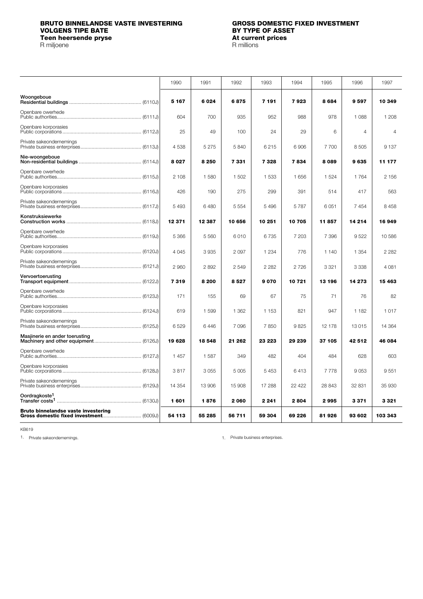## <span id="page-14-0"></span>**BRUTO BINNELANDSE VASTE INVESTERING GROSS DOMESTIC FIXED INVESTMENT VOLGENS TIPE BATE BY TYPE OF ASSET Teen heersende pryse At current prices and prices and prices and prices and prices are prices at a price and prices are prices and prices are prices and prices are prices and prices are prices and prices are prices and**

R miljoene

|                                     | 1990    | 1991     | 1992    | 1993    | 1994    | 1995    | 1996           | 1997           |
|-------------------------------------|---------|----------|---------|---------|---------|---------|----------------|----------------|
| Woongeboue                          | 5 167   | 6 0 2 4  | 6875    | 7 191   | 7923    | 8684    | 9597           | 10 349         |
| Openbare owerhede                   | 604     | 700      | 935     | 952     | 988     | 978     | 1088           | 1 208          |
| Openbare korporasies                | 25      | 49       | 100     | 24      | 29      | 6       | $\overline{4}$ | $\overline{4}$ |
| Private sakeondernemings            | 4538    | 5275     | 5840    | 6215    | 6906    | 7700    | 8505           | 9 1 3 7        |
| Nie-woongeboue                      | 8027    | 8 2 5 0  | 7331    | 7328    | 7834    | 8089    | 9635           | 11 177         |
| Openbare owerhede                   | 2 108   | 1580     | 1 502   | 1 5 3 3 | 1656    | 1 5 2 4 | 1764           | 2 1 5 6        |
| Openbare korporasies                | 426     | 190      | 275     | 299     | 391     | 514     | 417            | 563            |
| Private sakeondernemings            | 5 4 9 3 | 6480     | 5 5 5 4 | 5 4 9 6 | 5787    | 6051    | 7454           | 8 4 5 8        |
| Konstruksiewerke                    | 12 371  | 12 3 8 7 | 10 656  | 10 251  | 10705   | 11857   | 14 214         | 16949          |
| Openbare owerhede                   | 5 3 6 6 | 5 5 6 0  | 6010    | 6735    | 7 203   | 7 3 9 6 | 9522           | 10 586         |
| Openbare korporasies                | 4 0 4 5 | 3935     | 2 0 9 7 | 1 2 3 4 | 776     | 1 1 4 0 | 1 3 5 4        | 2 2 8 2        |
| Private sakeondernemings            | 2 9 6 0 | 2892     | 2549    | 2 2 8 2 | 2726    | 3 3 2 1 | 3 3 3 8        | 4 0 8 1        |
| Vervoertoerusting                   | 7319    | 8 2 0 0  | 8527    | 9070    | 10721   | 13 196  | 14 273         | 15 4 63        |
| Openbare owerhede                   | 171     | 155      | 69      | 67      | 75      | 71      | 76             | 82             |
| Openbare korporasies                | 619     | 1 5 9 9  | 1 3 6 2 | 1 1 5 3 | 821     | 947     | 1 1 8 2        | 1017           |
| Private sakeondernemings            | 6529    | 6446     | 7096    | 7850    | 9825    | 12 178  | 13 015         | 14 3 64        |
| Masjinerie en ander toerusting      | 19628   | 18 548   | 21 262  | 23 223  | 29 239  | 37 105  | 42512          | 46 084         |
| Openbare owerhede                   | 1 4 5 7 | 1587     | 349     | 482     | 404     | 484     | 628            | 603            |
| Openbare korporasies                | 3817    | 3 0 5 5  | 5 0 0 5 | 5453    | 6413    | 7778    | 9053           | 9551           |
| Private sakeondernemings            | 14 3 54 | 13 906   | 15 908  | 17 288  | 22 4 22 | 28 843  | 32 831         | 35 930         |
| Oordragkoste <sup>1</sup>           | 1601    | 1876     | 2060    | 2 2 4 1 | 2804    | 2995    | 3371           | 3321           |
| Bruto binnelandse vaste investering | 54 113  | 55 285   | 56 711  | 59 304  | 69 226  | 81926   | 93 602         | 103 343        |

KB619

1. Private sakeondernemings. The same state of the state of the state of the state business enterprises.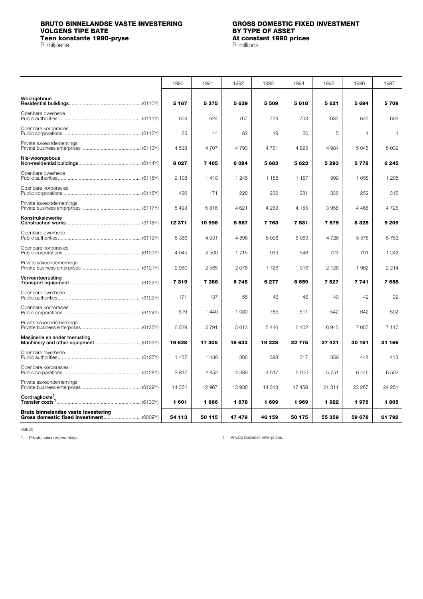## <span id="page-15-0"></span>**BRUTO BINNELANDSE VASTE INVESTERING GROSS DOMESTIC FIXED INVESTMENT VOLGENS TIPE BATE**<br> **BY TYPE OF ASSET**<br> **BY TYPE OF ASSET**<br> **BY TYPE OF ASSET**<br> **At constant 1990 prices**<br> **R** millions **Teen konstante 1990-pryse**

R miljoene

|                                     | 1990    | 1991    | 1992    | 1993    | 1994    | 1995    | 1996    | 1997    |
|-------------------------------------|---------|---------|---------|---------|---------|---------|---------|---------|
| Woongeboue                          | 5 1 6 7 | 5375    | 5 639   | 5 5 0 9 | 5618    | 5621    | 5694    | 5709    |
| Openbare owerhede                   | 604     | 624     | 767     | 729     | 703     | 632     | 645     | 666     |
| Openbare korporasies                | 25      | 44      | 82      | 19      | 20      | 5       | 4       | 4       |
| Private sakeondernemings            | 4538    | 4 70 7  | 4790    | 4761    | 4895    | 4 9 8 4 | 5045    | 5 0 3 9 |
| Nie-woongeboue                      | 8 0 2 7 | 7405    | 6094    | 5683    | 5623    | 5 2 9 3 | 5778    | 6 2 4 5 |
| Openbare owerhede                   | 2 108   | 1418    | 1 2 4 5 | 1 1 8 8 | 1 1 8 7 | 999     | 1 0 5 8 | 1 2 0 5 |
| Openbare korporasies                | 426     | 171     | 228     | 232     | 281     | 336     | 252     | 315     |
| Private sakeondernemings            | 5 4 9 3 | 5816    | 4 6 21  | 4 2 6 3 | 4 1 5 5 | 3958    | 4 4 6 8 | 4725    |
| Konstruksiewerke                    | 12 371  | 10 996  | 8687    | 7763    | 7 5 3 1 | 7575    | 8328    | 9 2 0 9 |
| Openbare owerhede                   | 5 3 6 6 | 4931    | 4896    | 5 0 9 8 | 5 0 6 9 | 4726    | 5575    | 5753    |
| Openbare korporasies                | 4045    | 3500    | 1715    | 939     | 546     | 723     | 791     | 1 2 4 2 |
| Private sakeondernemings            | 2 9 6 0 | 2 5 6 5 | 2076    | 1726    | 1916    | 2 1 2 6 | 1962    | 2 2 1 4 |
| Vervoertoerusting                   | 7319    | 7 368   | 6748    | 6277    | 6659    | 7527    | 7 7 4 1 | 7658    |
| Openbare owerhede                   | 171     | 137     | 55      | 46      | 46      | 40      | 42      | 39      |
| Openbare korporasies                | 619     | 1440    | 1 0 8 0 | 785     | 511     | 542     | 642     | 502     |
| Private sakeondernemings            | 6529    | 5 7 9 1 | 5613    | 5 4 4 6 | 6 102   | 6945    | 7 0 5 7 | 7 1 1 7 |
| Masiinerie en ander toerusting      | 19628   | 17 305  | 18 633  | 19 228  | 22 775  | 27 421  | 30 161  | 31 166  |
| Openbare owerhede                   | 1457    | 1486    | 306     | 398     | 317     | 359     | 448     | 413     |
| Openbare korporasies                | 3817    | 2852    | 4 3 8 9 | 4517    | 5 0 0 0 | 5751    | 6446    | 6 502   |
| Private sakeondernemings            | 14 3 54 | 12 967  | 13 938  | 14 3 13 | 17458   | 21 311  | 23 267  | 24 251  |
| Oordragkoste <sup>1</sup>           | 1601    | 1666    | 1678    | 1699    | 1969    | 1922    | 1976    | 1805    |
| Bruto binnelandse vaste investering | 54 113  | 50 115  | 47479   | 46 159  | 50 175  | 55 359  | 59 678  | 61 792  |

KB620

1. Private sakeondernemings. 1. Private business enterprises.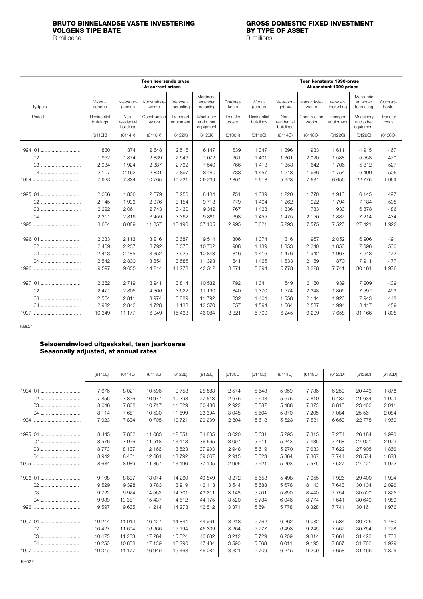<span id="page-16-0"></span>

|          |                          |                                  | Teen heersende pryse<br>At current prices |                        |                                      |                   |                          |                                  |                       | Teen konstante 1990-pryse<br>At constant 1990 prices |                                      |                   |
|----------|--------------------------|----------------------------------|-------------------------------------------|------------------------|--------------------------------------|-------------------|--------------------------|----------------------------------|-----------------------|------------------------------------------------------|--------------------------------------|-------------------|
| Tydperk  | Woon-<br>geboue          | Nie-woon-<br>geboue              | Konstruksie-<br>werke                     | Vervoer-<br>toerusting | Masjinerie<br>en ander<br>toerusting | Oordrag-<br>koste | Woon-<br>geboue          | Nie-woon-<br>geboue              | Konstruksie-<br>werke | Vervoer-<br>toerusting                               | Masjinerie<br>en ander<br>toerusting | Oordrag-<br>koste |
| Period   | Residential<br>buildings | Non-<br>residential<br>buildings | Construction<br>works                     | Transport<br>equipment | Machinerv<br>and other<br>equipment  | Transfer<br>costs | Residential<br>buildings | Non-<br>residential<br>buildings | Construction<br>works | Transport<br>equipment                               | Machinerv<br>and other<br>equipment  | Transfer<br>costs |
|          | (6110K)                  | (6114K)                          | (6118K)                                   | (6122K)                | (6126K)                              | (6130K)           | (6110C)                  | (6114C)                          | (6118C)               | (6122C)                                              | (6126C)                              | (6130C)           |
| 1994: 01 | 1830                     | 1874                             | 2648                                      | 2516                   | 6 1 4 7                              | 639               | 1 3 4 7                  | 1 3 9 6                          | 1933                  | 1611                                                 | 4915                                 | 467               |
| 02       | 1952                     | 1874                             | 2839                                      | 2546                   | 7 0 7 2                              | 661               | 1401                     | 1 3 6 1                          | 2 0 2 0               | 1588                                                 | 5 5 5 8                              | 470               |
| 03       | 2 0 3 4                  | 1924                             | 2 3 8 7                                   | 2 7 6 2                | 7 5 4 0                              | 766               | 1413                     | 1 3 5 3                          | 1 642                 | 1706                                                 | 5812                                 | 527               |
|          | 2 107                    | 2 1 6 2                          | 2831                                      | 2897                   | 8480                                 | 738               | 1 4 5 7                  | 1513                             | 1936                  | 1754                                                 | 6490                                 | 505               |
|          | 7923                     | 7834                             | 10 705                                    | 10721                  | 29 239                               | 2 8 0 4           | 5618                     | 5 6 2 3                          | 7 5 31                | 6659                                                 | 22 7 7 5                             | 1969              |
| 1995: 01 | 2 0 0 6                  | 1806                             | 2679                                      | 3 2 5 0                | 8 1 8 4                              | 751               | 1 3 3 9                  | 1 2 2 0                          | 1 7 7 0               | 1913                                                 | 6 1 4 5                              | 497               |
| 02       | 2 1 4 5                  | 1906                             | 2976                                      | 3 1 5 4                | 9718                                 | 779               | 1 4 0 4                  | 1 2 6 2                          | 1922                  | 1794                                                 | 7 1 8 4                              | 505               |
|          | 2 2 2 2                  | 2 0 6 1                          | 2 7 4 3                                   | 3 4 3 0                | 9342                                 | 767               | 1 4 2 3                  | 1 3 3 6                          | 1733                  | 1933                                                 | 6878                                 | 486               |
| 04       | 2 3 1 1                  | 2 3 1 6                          | 3 4 5 9                                   | 3 3 6 2                | 9861                                 | 698               | 1 4 5 5                  | 1 4 7 5                          | 2 1 5 0               | 1887                                                 | 7 2 1 4                              | 434               |
|          | 8 6 8 4                  | 8089                             | 11857                                     | 13 196                 | 37 105                               | 2995              | 5 6 21                   | 5 2 9 3                          | 7575                  | 7 5 2 7                                              | 27 4 21                              | 1922              |
| 1996: 01 | 2 2 3 3                  | 2 1 1 3                          | 3 2 1 6                                   | 3687                   | 9514                                 | 806               | 1 3 7 4                  | 1 3 1 6                          | 1957                  | 2052                                                 | 6906                                 | 491               |
| 02       | 2 4 0 9                  | 2 2 3 7                          | 3792                                      | 3376                   | 10762                                | 908               | 1439                     | 1 3 5 3                          | 2 2 4 0               | 1856                                                 | 7696                                 | 536               |
|          | 2413                     | 2 4 8 5                          | 3 3 5 2                                   | 3625                   | 10 843                               | 816               | 1416                     | 1476                             | 1942                  | 1963                                                 | 7648                                 | 472               |
| 04       | 2 5 4 2                  | 2800                             | 3854                                      | 3585                   | 11 393                               | 841               | 1465                     | 1 633                            | 2 189                 | 1870                                                 | 7911                                 | 477               |
|          | 9597                     | 9635                             | 14 2 14                                   | 14 273                 | 42 512                               | 3 3 7 1           | 5694                     | 5778                             | 8 3 2 8               | 7 7 4 1                                              | 30 161                               | 1976              |
|          | 2 3 8 2                  | 2719                             | 3941                                      | 3814                   | 10 532                               | 792               | 1 341                    | 1549                             | 2 180                 | 1939                                                 | 7 209                                | 439               |
| 02       | 2 4 7 1                  | 2805                             | 4 3 0 6                                   | 3622                   | 11 190                               | 840               | 1 370                    | 1574                             | 2 3 4 8               | 1805                                                 | 7 5 9 7                              | 459               |
| 03       | 2 5 6 4                  | 2811                             | 3974                                      | 3889                   | 11 792                               | 832               | 1 4 0 4                  | 1558                             | 2 1 4 4               | 1920                                                 | 7943                                 | 448               |
|          | 2 9 3 2                  | 2842                             | 4728                                      | 4 1 3 8                | 12 570                               | 857               | 1594                     | 1564                             | 2 5 3 7               | 1994                                                 | 8417                                 | 459               |
| 1997     | 10 349                   | 11 177                           | 16949                                     | 15 4 6 3               | 46 084                               | 3 3 2 1           | 5 7 0 9                  | 6 2 4 5                          | 9 2 0 9               | 7658                                                 | 31 166                               | 1805              |

KB621

## **Seisoensinvloed uitgeskakel, teen jaarkoerse Seasonally adjusted, at annual rates**

|              | (6110L) | (6114L) | (6118L) | (6122L) | (6126L) | (6130L) | (6110D) | (6114D) | (6118D) | (6122D) | (6126D)  | (6130D) |
|--------------|---------|---------|---------|---------|---------|---------|---------|---------|---------|---------|----------|---------|
| 1994: 01     | 7676    | 8 0 21  | 10 596  | 9758    | 25 5 83 | 2574    | 5648    | 5959    | 7736    | 6 2 5 0 | 20 443   | 1878    |
|              |         |         |         |         |         |         |         |         |         |         |          |         |
| 02           | 7856    | 7826    | 10 977  | 10 398  | 27 543  | 2675    | 5 6 3 3 | 5675    | 7810    | 6487    | 21 634   | 1903    |
| 03           | 8 0 4 6 | 7808    | 10717   | 11 0 29 | 30 436  | 2922    | 5587    | 5488    | 7 3 7 3 | 6815    | 23 4 62  | 2011    |
| 04           | 8 1 1 4 | 7681    | 10 530  | 11 699  | 33 394  | 3045    | 5 604   | 5 3 7 0 | 7 205   | 7 0 8 4 | 25 5 61  | 2 0 8 4 |
|              | 7923    | 7834    | 10 705  | 10721   | 29 239  | 2 8 0 4 | 5618    | 5623    | 7 5 3 1 | 6659    | 22 7 7 5 | 1969    |
| 1995: 01     | 8 4 4 5 | 7862    | 11 083  | 12 3 51 | 34 885  | 3020    | 5631    | 5 2 9 5 | 7 3 1 5 | 7 2 7 4 | 26 184   | 1 996   |
| 02           | 8576    | 7926    | 11 518  | 13 118  | 36 565  | 3097    | 5611    | 5 2 4 3 | 7 4 3 5 | 7468    | 27 0 21  | 2 0 0 3 |
| 03           | 8773    | 8 1 3 7 | 12 166  | 13 523  | 37903   | 2948    | 5619    | 5 2 7 0 | 7683    | 7622    | 27 905   | 1866    |
|              | 8942    | 8 4 31  | 12 661  | 13792   | 39 067  | 2915    | 5 6 2 3 | 5 3 6 4 | 7867    | 7 7 4 4 | 28 574   | 1823    |
| 1995         | 8684    | 8089    | 11857   | 13 196  | 37 105  | 2995    | 5621    | 5 2 9 3 | 7575    | 7527    | 27 421   | 1922    |
|              |         |         |         |         |         |         |         |         |         |         |          |         |
| 1996: 01     | 9 1 9 8 | 8837    | 13 0 74 | 14 260  | 40 549  | 3 2 7 2 | 5 6 5 3 | 5498    | 7955    | 7926    | 29 400   | 1 9 9 4 |
| 02           | 9529    | 9 3 9 8 | 13783   | 13919   | 42 113  | 3544    | 5688    | 5678    | 8 1 4 3 | 7643    | 30 104   | 2096    |
| 03           | 9722    | 9924    | 14 5 62 | 14 301  | 43 211  | 3 1 4 8 | 5701    | 5890    | 8 4 4 0 | 7754    | 30 500   | 1825    |
| 04           | 9939    | 10 381  | 15 437  | 14 612  | 44 175  | 3520    | 5 7 3 4 | 6046    | 8774    | 7641    | 30 640   | 1989    |
|              | 9597    | 9635    | 14 214  | 14 273  | 42 512  | 3 3 7 1 | 5694    | 5778    | 8 3 2 8 | 7 7 4 1 | 30 161   | 1976    |
|              |         |         |         |         |         |         |         |         |         |         |          |         |
| 1997: 01     | 10 244  | 11 013  | 16 427  | 14 844  | 44 961  | 3 2 1 8 | 5762    | 6 2 6 2 | 9082    | 7 5 3 4 | 30 7 25  | 1780    |
| 02           | 10 427  | 11 604  | 16 966  | 15 194  | 45 309  | 3 2 6 4 | 5777    | 6498    | 9 2 4 5 | 7 5 6 7 | 30 754   | 1778    |
| 03           | 10 475  | 11 233  | 17 264  | 15 5 24 | 46 632  | 3 2 1 2 | 5729    | 6 209   | 9 3 1 4 | 7664    | 31 4 23  | 1 7 3 3 |
| 04           | 10 250  | 10858   | 17 139  | 16 290  | 47 434  | 3590    | 5568    | 6011    | 9 1 9 5 | 7867    | 31 762   | 1929    |
|              | 10 349  | 11 177  | 16949   | 15 4 63 | 46 084  | 3 3 2 1 | 5709    | 6245    | 9 2 0 9 | 7658    | 31 166   | 1805    |
| <b>KB622</b> |         |         |         |         |         |         |         |         |         |         |          |         |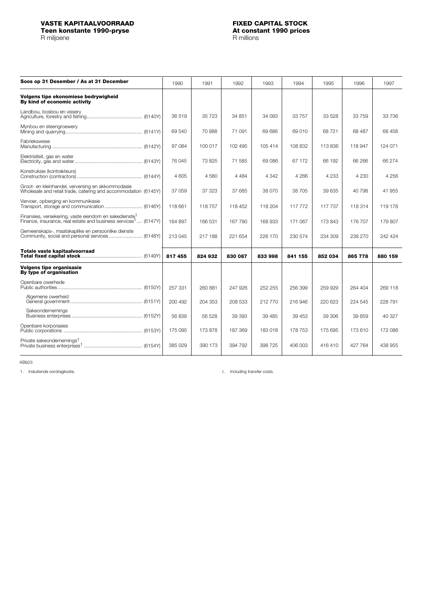<span id="page-17-0"></span>**Teen konstante 1990-pryse At constant 1990-pryse At constant in the At constant in the At constant in the At constant in the At constant in the At constant in the At constant in the At constant in the At constant in t** 

R miljoene

| Soos op 31 Desember / As at 31 December                                                                                                         | 1990    | 1991    | 1992    | 1993    | 1994    | 1995    | 1996    | 1997    |
|-------------------------------------------------------------------------------------------------------------------------------------------------|---------|---------|---------|---------|---------|---------|---------|---------|
| Volgens tipe ekonomiese bedrywigheid<br>By kind of economic activity                                                                            |         |         |         |         |         |         |         |         |
| Landbou, bosbou en vissery                                                                                                                      | 36 519  | 35 723  | 34 851  | 34 093  | 33 757  | 33 528  | 33 759  | 33 736  |
| Mynbou en steengroewery                                                                                                                         | 69 540  | 70 988  | 71 091  | 69 686  | 69 010  | 68 721  | 68 487  | 68 458  |
| Fabriekswese                                                                                                                                    | 97 084  | 100 017 | 102 495 | 105 414 | 108 832 | 113836  | 118 947 | 124 071 |
| Elektrisiteit, gas en water                                                                                                                     | 76 045  | 73 825  | 71 585  | 69086   | 67 172  | 66 192  | 66 266  | 66 274  |
| Konstruksie (kontrakteurs)                                                                                                                      | 4 605   | 4580    | 4 4 8 4 | 4 3 4 2 | 4 2 6 6 | 4 2 3 3 | 4 2 3 0 | 4 256   |
| Groot- en kleinhandel, verversing en akkommodasie<br>Wholesale and retail trade, catering and accommodation (6145Y)                             | 37 059  | 37 323  | 37 685  | 38 070  | 38705   | 39 635  | 40 798  | 41 955  |
| Vervoer, opberging en kommunikasie                                                                                                              | 118 661 | 118757  | 118 452 | 118 204 | 117 772 | 117 737 | 118 314 | 119 178 |
| Finansies, versekering, vaste eiendom en sakedienste <sup>1</sup><br>Finance, insurance, real estate and business services <sup>1</sup> (6147Y) | 164 897 | 166 531 | 167 790 | 168 933 | 171 067 | 173 843 | 176 707 | 179807  |
| Gemeenskaps-, maatskaplike en persoonlike dienste                                                                                               | 213 045 | 217 188 | 221 654 | 226 170 | 230 574 | 234 309 | 238 270 | 242 424 |
| Totale vaste kapitaalvoorraad                                                                                                                   | 817 455 | 824 932 | 830 087 | 833 998 | 841 155 | 852 034 | 865 778 | 880 159 |
| <b>Volgens tipe organisasie</b><br>By type of organisation                                                                                      |         |         |         |         |         |         |         |         |
| Openbare owerhede                                                                                                                               | 257 331 | 260 881 | 247 926 | 252 255 | 256 399 | 259929  | 264 404 | 269 118 |
| Algemene owerheid                                                                                                                               | 200 492 | 204 353 | 208 533 | 212770  | 216 946 | 220 623 | 224 545 | 228 791 |
| Sakeondernemings                                                                                                                                | 56 839  | 56 528  | 39 393  | 39 4 85 | 39 453  | 39 306  | 39 859  | 40 327  |
| Openbare korporasies                                                                                                                            | 175 095 | 173 878 | 187 369 | 183018  | 178 753 | 175 695 | 173610  | 172 086 |
| Private sakeondernemings <sup>1</sup>                                                                                                           | 385 029 | 390 173 | 394 792 | 398 725 | 406 003 | 416410  | 427 764 | 438 955 |

KB623

1. Insluitende oordragkoste. 1. Including transfer costs.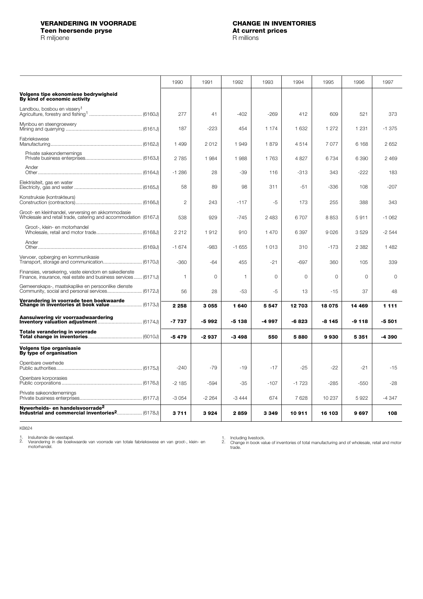<span id="page-18-0"></span>**Teen heersende pryse At current prices and prices and prices and prices and prices are prices at a price and prices are prices and prices are prices and prices are prices and prices are prices and prices are prices and** 

|                                                                                                                       | 1990           | 1991         | 1992         | 1993     | 1994     | 1995    | 1996     | 1997     |
|-----------------------------------------------------------------------------------------------------------------------|----------------|--------------|--------------|----------|----------|---------|----------|----------|
| Volgens tipe ekonomiese bedrywigheid<br>By kind of economic activity                                                  |                |              |              |          |          |         |          |          |
| Landbou, bosbou en vissery <sup>1</sup>                                                                               | 277            | 41           | $-402$       | $-269$   | 412      | 609     | 521      | 373      |
| Mynbou en steengroewery                                                                                               | 187            | $-223$       | 454          | 1 1 7 4  | 1 632    | 1 2 7 2 | 1 2 3 1  | $-1.375$ |
| Fabriekswese                                                                                                          | 1 4 9 9        | 2012         | 1949         | 1879     | 4514     | 7077    | 6 1 6 8  | 2 6 5 2  |
| Private sakeondernemings                                                                                              | 2785           | 1 984        | 1988         | 1763     | 4827     | 6734    | 6 3 9 0  | 2469     |
| Ander                                                                                                                 | $-1286$        | 28           | $-39$        | 116      | $-313$   | 343     | $-222$   | 183      |
| Elektrisiteit, gas en water                                                                                           | 58             | 89           | 98           | 311      | $-51$    | $-336$  | 108      | $-207$   |
| Konstruksie (kontrakteurs)                                                                                            | $\overline{c}$ | 243          | $-117$       | -5       | 173      | 255     | 388      | 343      |
| Groot- en kleinhandel, verversing en akkommodasie<br>Wholesale and retail trade, catering and accommodation (6167J)   | 538            | 929          | $-745$       | 2 4 8 3  | 6707     | 8853    | 5911     | $-1062$  |
| Groot-, klein- en motorhandel                                                                                         | 2212           | 1912         | 910          | 1470     | 6397     | 9026    | 3529     | $-2544$  |
| Ander                                                                                                                 | $-1674$        | $-983$       | $-1655$      | 1013     | 310      | $-173$  | 2 3 8 2  | 1482     |
| Vervoer, opberging en kommunikasie                                                                                    | $-360$         | $-64$        | 455          | $-21$    | $-697$   | 360     | 105      | 339      |
| Finansies, versekering, vaste eiendom en sakedienste<br>Finance, insurance, real estate and business services (6171J) | 1              | $\mathbf{0}$ | $\mathbf{1}$ | $\Omega$ | $\Omega$ | $\circ$ | $\Omega$ | $\Omega$ |
| Gemeenskaps-, maatskaplike en persoonlike dienste<br>Community, social and personal services (6172J)                  | 56             | 28           | $-53$        | $-5$     | 13       | $-15$   | 37       | 48       |
| Verandering in voorrade teen boekwaarde                                                                               | 2 2 5 8        | 3 0 5 5      | 1640         | 5547     | 12 703   | 18 075  | 14 4 69  | 1 1 1 1  |
| Aansuiwering vir voorraadwaardering                                                                                   | -7 737         | -5 992       | $-5138$      | -4 997   | $-6823$  | -8 145  | $-9118$  | $-5501$  |
| Totale verandering in voorrade                                                                                        | $-5479$        | $-2937$      | $-3498$      | 550      | 5880     | 9930    | 5 3 5 1  | -4 390   |
| <b>Volgens tipe organisasie</b><br>By type of organisation                                                            |                |              |              |          |          |         |          |          |
| Openbare owerhede                                                                                                     | $-240$         | $-79$        | $-19$        | $-17$    | $-25$    | -22     | $-21$    | $-15$    |
| Openbare korporasies                                                                                                  | $-2185$        | $-594$       | $-35$        | -107     | $-1723$  | $-285$  | -550     | $-28$    |
| Private sakeondernemings                                                                                              | $-3054$        | $-2264$      | $-3444$      | 674      | 7628     | 10 237  | 5922     | $-4347$  |
| Nywerheids- en handelsvoorrade <sup>2</sup><br>Industrial and commercial inventories <sup>2</sup> (6178J)             | 3711           | 3924         | 2859         | 3 3 4 9  | 10911    | 16 103  | 9697     | 108      |

KB624

1. 2.

Insluitende die veestapel. Verandering in die boekwaarde van voorrade van totale fabriekswese en van groot-, klein- en motorhandel.

Including livestock. Change in book value of inventories of total manufacturing and of wholesale, retail and motor trade. 1. 2.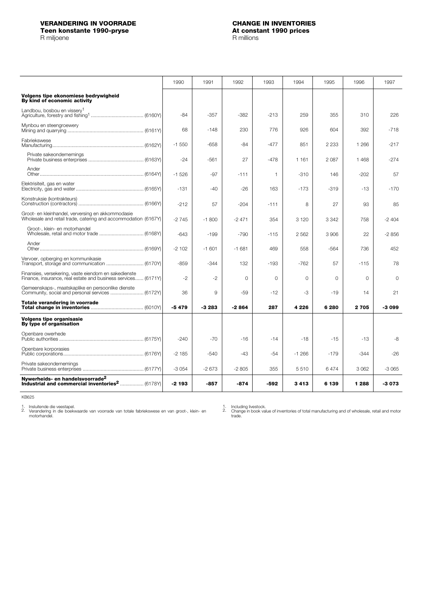<span id="page-19-0"></span>**Teen konstante 1990-pryse At constant 1990-pryse**<br>R miljoene **At constant 1990-pryse** 

R miljoene

|                                                                                                                       | 1990    | 1991    | 1992     | 1993     | 1994     | 1995     | 1996     | 1997     |
|-----------------------------------------------------------------------------------------------------------------------|---------|---------|----------|----------|----------|----------|----------|----------|
| Volgens tipe ekonomiese bedrywigheid<br>By kind of economic activity                                                  |         |         |          |          |          |          |          |          |
| Landbou, bosbou en visserv <sup>1</sup>                                                                               | $-84$   | $-357$  | $-382$   | $-213$   | 259      | 355      | 310      | 226      |
| Mynbou en steengroewery                                                                                               | 68      | $-148$  | 230      | 776      | 926      | 604      | 392      | $-718$   |
| Fabriekswese                                                                                                          | $-1550$ | $-658$  | $-84$    | $-477$   | 851      | 2 2 3 3  | 1 2 6 6  | $-217$   |
| Private sakeondernemings                                                                                              | $-24$   | $-561$  | 27       | $-478$   | 1 1 6 1  | 2 0 8 7  | 1468     | $-274$   |
| Ander                                                                                                                 | $-1526$ | $-97$   | $-111$   | 1        | $-310$   | 146      | $-202$   | 57       |
| Elektrisiteit, gas en water                                                                                           | $-131$  | $-40$   | $-26$    | 163      | $-173$   | $-319$   | $-13$    | $-170$   |
| Konstruksie (kontrakteurs)                                                                                            | $-212$  | 57      | $-204$   | $-111$   | 8        | 27       | 93       | 85       |
| Groot- en kleinhandel, verversing en akkommodasie<br>Wholesale and retail trade, catering and accommodation (6167Y)   | $-2745$ | $-1800$ | $-2471$  | 354      | 3 1 2 0  | 3 3 4 2  | 758      | $-2404$  |
| Groot-, klein- en motorhandel                                                                                         | $-643$  | $-199$  | $-790$   | $-115$   | 2562     | 3.906    | 22       | $-2856$  |
| Ander                                                                                                                 | $-2102$ | $-1601$ | $-1681$  | 469      | 558      | $-564$   | 736      | 452      |
| Vervoer, opberging en kommunikasie                                                                                    | $-859$  | $-344$  | 132      | $-193$   | $-762$   | 57       | $-115$   | 78       |
| Finansies, versekering, vaste eiendom en sakedienste<br>Finance, insurance, real estate and business services (6171Y) | $-2$    | $-2$    | $\Omega$ | $\Omega$ | $\Omega$ | $\Omega$ | $\Omega$ | $\Omega$ |
| Gemeenskaps-, maatskaplike en persoonlike dienste<br>Community, social and personal services  (6172Y)                 | 36      | 9       | $-59$    | $-12$    | -3       | $-19$    | 14       | 21       |
| Totale verandering in voorrade                                                                                        | $-5479$ | $-3283$ | $-2864$  | 287      | 4 2 2 6  | 6 280    | 2705     | -3 099   |
| <b>Volgens tipe organisasie</b><br>By type of organisation                                                            |         |         |          |          |          |          |          |          |
| Openbare owerhede                                                                                                     | $-240$  | $-70$   | $-16$    | $-14$    | $-18$    | $-15$    | $-13$    | -8       |
| Openbare korporasies                                                                                                  | $-2185$ | $-540$  | $-43$    | -54      | $-1266$  | $-179$   | $-344$   | $-26$    |
| Private sakeondernemings                                                                                              | $-3054$ | $-2673$ | $-2805$  | 355      | 5510     | 6474     | 3 0 6 2  | $-3065$  |
| Nywerheids- en handelsvoorrade <sup>2</sup>                                                                           | -2 193  | $-857$  | $-874$   | -592     | 3413     | 6 139    | 1 2 8 8  | -3 073   |

KB625

Insluitende die veestapel. Verandering in die boekwaarde van voorrade van totale fabriekswese en van groot-, klein- en motorhandel. 1. 2.

Including livestock. Change in book value of inventories of total manufacturing and of wholesale, retail and motor trade. 1. 2.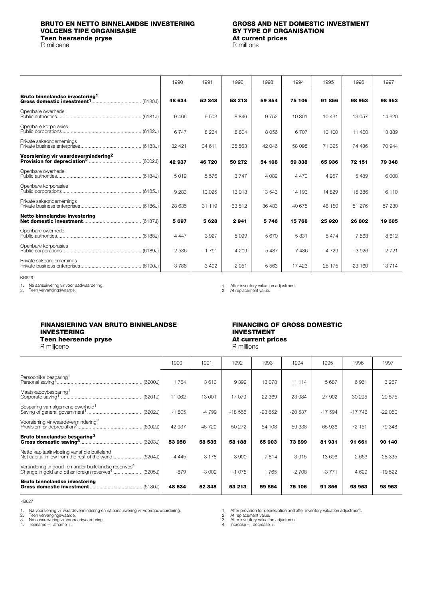## <span id="page-20-0"></span>**BRUTO EN NETTO BINNELANDSE INVESTERING GROSS AND NET DOMESTIC INVESTMENT VOLGENS TIPE ORGANISASIE**<br> **BY TYPE OF ORGANISASIE**<br> **BY TYPE OF ORGANISASIE**<br> **BY TYPE OF ORGANISASIE Teen heersende pryse At current prices and prices and prices and prices are prices at a price and prices are prices and prices are prices and prices are prices and prices are prices and prices are prices and prices are**

R miljoene

|                                                 | 1990    | 1991    | 1992    | 1993    | 1994    | 1995    | 1996    | 1997     |
|-------------------------------------------------|---------|---------|---------|---------|---------|---------|---------|----------|
| Bruto binnelandse investering <sup>1</sup>      | 48 634  | 52 348  | 53 213  | 59854   | 75 106  | 91856   | 98 953  | 98 953   |
| Openbare owerhede                               | 9466    | 9 5 0 3 | 8846    | 9752    | 10 301  | 10 431  | 13 057  | 14 6 20  |
| Openbare korporasies                            | 6747    | 8 2 3 4 | 8 8 0 4 | 8 0 5 6 | 6707    | 10 100  | 11 460  | 13 3 8 9 |
| Private sakeondernemings                        | 32 4 21 | 34 611  | 35 563  | 42 046  | 58 098  | 71 325  | 74 436  | 70 944   |
| Voorsiening vir waardevermindering <sup>2</sup> | 42937   | 46720   | 50 272  | 54 108  | 59 338  | 65936   | 72 151  | 79 348   |
| Openbare owerhede                               | 5019    | 5576    | 3747    | 4 0 8 2 | 4 4 7 0 | 4 9 5 7 | 5489    | 6 0 0 8  |
| Openbare korporasies                            | 9 2 8 3 | 10 0 25 | 13013   | 13 543  | 14 193  | 14829   | 15 386  | 16 110   |
| Private sakeondernemings                        | 28 635  | 31 119  | 33 512  | 36 483  | 40 675  | 46 150  | 51 276  | 57 230   |
| Netto binnelandse investering                   | 5 6 9 7 | 5 6 28  | 2941    | 5746    | 15 768  | 25 9 20 | 26 802  | 19 605   |
| Openbare owerhede                               | 4 4 4 7 | 3927    | 5099    | 5670    | 5831    | 5474    | 7 5 6 8 | 8612     |
| Openbare korporasies                            | $-2536$ | $-1791$ | $-4209$ | $-5487$ | $-7486$ | $-4729$ | $-3926$ | $-2721$  |
| Private sakeondernemings                        | 3786    | 3492    | 2051    | 5563    | 17423   | 25 175  | 23 160  | 13714    |

KB626

1. Ná aansuiwering vir voorraadwaardering.<br>2. Teen vervangingswaarde.

After inventory valuation adjustment. At replacement value. 1. 2.

### **FINANSIERING VAN BRUTO BINNELANDSE FINANCING OF GROSS DOMESTIC INVESTERING**<br> **INVESTMENT**<br> **INVESTMENT**<br> **INVESTMENT**<br> **INVESTMENT**<br> **At current prices Teen heersende pryse**

### R miljoene R millions

|                                                                                                                                   | 1990    | 1991    | 1992     | 1993     | 1994     | 1995      | 1996     | 1997     |
|-----------------------------------------------------------------------------------------------------------------------------------|---------|---------|----------|----------|----------|-----------|----------|----------|
| Persoonlike besparing <sup>1</sup>                                                                                                | 1764    | 3613    | 9 3 9 2  | 13 0 78  | 11 114   | 5687      | 6961     | 3 2 6 7  |
| Maatskappybesparing <sup>1</sup>                                                                                                  | 11 062  | 13 001  | 17079    | 22 3 69  | 23 984   | 27 902    | 30 295   | 29 575   |
| Besparing van algemene owerheid <sup>1</sup>                                                                                      | $-1805$ | $-4799$ | $-18555$ | $-23652$ | $-20537$ | $-17.594$ | $-17746$ | $-22050$ |
| Voorsiening vir waardevermindering <sup>2</sup>                                                                                   | 42 937  | 46 720  | 50 272   | 54 108   | 59 338   | 65 936    | 72 151   | 79 348   |
| Bruto binnelandse besparing <sup>3</sup>                                                                                          | 53 958  | 58 535  | 58 188   | 65903    | 73899    | 81931     | 91 661   | 90 140   |
| Netto kapitaalinvloeiing vanaf die buiteland                                                                                      | $-4445$ | $-3178$ | $-3900$  | $-7814$  | 3915     | 13 696    | 2663     | 28 335   |
| Verandering in goud- en ander buitelandse reserwes <sup>4</sup><br>Change in gold and other foreign reserves <sup>4</sup> (6205J) | $-879$  | $-3009$ | $-1075$  | 1765     | $-2708$  | $-3771$   | 4629     | $-19522$ |
| <b>Bruto binnelandse investering</b>                                                                                              | 48 634  | 52 348  | 53 213   | 59 854   | 75 106   | 91856     | 98 953   | 98 953   |

KB627

Ná voorsiening vir waardevermindering en ná aansuiwering vir voorraadwaardering.<br>Teen vervangingswaarde.<br>Ná aansuiwering vir voorraadwaardering.<br>Toename –; afname +. 1.

 $\overline{2}$ .

3. 4.

After provision for depreciation and after inventory valuation adjustment.<br>At replacement value.<br>After inventory valuation adjustment.<br>Increase -; decrease +.

1. 2. 3. 4.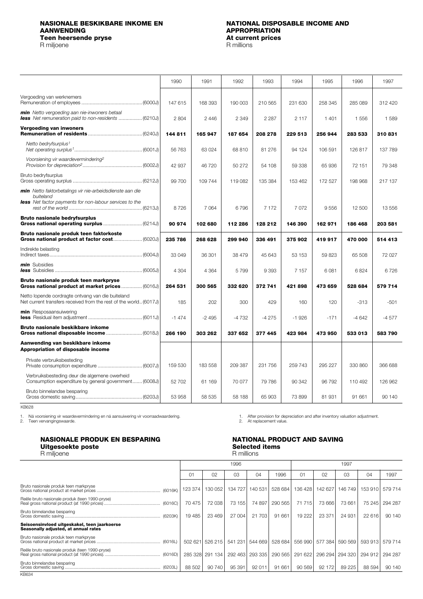# <span id="page-21-0"></span>**NASIONALE BESKIKBARE INKOME EN NATIONAL DISPOSABLE INCOME AND Teen heersende pryse At current prices and at all and prices and prices are prices at a price prices and prices are prices at a price**  $\mathbb{R}$  **millions**

R miljoene

# **APPROPRIATION**<br>At current prices

|                                                                                                                        | 1990    | 1991    | 1992    | 1993    | 1994    | 1995    | 1996    | 1997    |
|------------------------------------------------------------------------------------------------------------------------|---------|---------|---------|---------|---------|---------|---------|---------|
| Vergoeding van werknemers                                                                                              | 147 615 | 168 393 | 190 003 | 210 565 | 231 630 | 258 345 | 285 089 | 312 420 |
| min Netto vergoeding aan nie-inwoners betaal<br><b>less</b> Net remuneration paid to non-residents  (6210J)            | 2 804   | 2446    | 2 3 4 9 | 2 2 8 7 | 2 1 1 7 | 1401    | 1556    | 1589    |
| <b>Vergoeding van inwoners</b>                                                                                         | 144811  | 165 947 | 187 654 | 208 278 | 229 513 | 256 944 | 283 533 | 310831  |
| Netto bedryfsurplus <sup>1</sup>                                                                                       | 56 763  | 63 0 24 | 68 810  | 81 276  | 94 124  | 106 591 | 126 817 | 137 789 |
| Voorsiening vir waardevermindering <sup>2</sup>                                                                        | 42 937  | 46 720  | 50 272  | 54 108  | 59 338  | 65936   | 72 151  | 79 348  |
| Bruto bedryfsurplus                                                                                                    | 99 700  | 109 744 | 119 082 | 135 384 | 153 462 | 172 527 | 198 968 | 217 137 |
| min Netto faktorbetalings vir nie-arbeidsdienste aan die<br>buiteland                                                  |         |         |         |         |         |         |         |         |
| <b>less</b> Net factor payments for non-labour services to the                                                         | 8726    | 7064    | 6796    | 7 172   | 7072    | 9556    | 12 500  | 13 556  |
| <b>Bruto nasionale bedryfsurplus</b>                                                                                   | 90 974  | 102 680 | 112 286 | 128 212 | 146 390 | 162 971 | 186 468 | 203 581 |
| Bruto nasionale produk teen faktorkoste                                                                                | 235 786 | 268 628 | 299 940 | 336 491 | 375 902 | 419 917 | 470 000 | 514 413 |
| Indirekte belasting                                                                                                    | 33 049  | 36 301  | 38 479  | 45 643  | 53 153  | 59823   | 65 508  | 72 027  |
| min Subsidies                                                                                                          | 4 3 0 4 | 4 3 6 4 | 5799    | 9 3 9 3 | 7 1 5 7 | 6081    | 6824    | 6726    |
| Bruto nasionale produk teen markpryse<br>Gross national product at market prices  (6016J)                              | 264 531 | 300 565 | 332 620 | 372 741 | 421898  | 473 659 | 528 684 | 579 714 |
| Netto lopende oordragte ontvang van die buiteland<br>Net current transfers received from the rest of the world (6017J) | 185     | 202     | 300     | 429     | 160     | 120     | $-313$  | $-501$  |
| min Resposaansuiwering                                                                                                 | $-1474$ | $-2495$ | -4732   | $-4275$ | $-1926$ | $-171$  | $-4642$ | $-4577$ |
| Bruto nasionale beskikbare inkome                                                                                      | 266 190 | 303 262 | 337 652 | 377 445 | 423 984 | 473 950 | 533 013 | 583790  |
| Aanwending van beskikbare inkome<br>Appropriation of disposable income                                                 |         |         |         |         |         |         |         |         |
| Private verbruiksbesteding                                                                                             | 159 530 | 183 558 | 209 387 | 231 756 | 259 743 | 295 227 | 330 860 | 366 688 |
| Verbruiksbesteding deur die algemene owerheid<br>Consumption expenditure by general government (6008J)                 | 52 702  | 61 169  | 70 077  | 79 786  | 90 342  | 96 792  | 110 492 | 126 962 |
| Bruto binnelandse besparing                                                                                            | 53 958  | 58 535  | 58 188  | 65 903  | 73 899  | 81 931  | 91 661  | 90 140  |

KB628

1. Ná voorsiening vir waardevermindering en ná aansuiwering vir voorraadwaardering.<br>2. Teen vervangingswaarde.

1. After provision for depreciation and after inventory valuation adjustment.<br>2. At replacement value.

## **NASIONALE PRODUK EN BESPARING<br>
Uitgesoekte poste<br>
Selected items<br>
Selected items Uitgesoekte poste Selected items**

## R miljoene

|                                                                                      |                |                 | 1996    |         |         | 1997    |         |         |         |         |
|--------------------------------------------------------------------------------------|----------------|-----------------|---------|---------|---------|---------|---------|---------|---------|---------|
|                                                                                      | 0 <sub>1</sub> | 02              | 03      | 04      | 1996    | 01      | 02      | 03      | 04      | 1997    |
| Bruto nasionale produk teen markpryse                                                | 123 374        | 130 052         | 134 727 | 140 531 | 528 684 | 136 428 | 142 627 | 146 749 | 153 910 | 579 714 |
| Reële bruto nasionale produk (teen 1990-pryse)                                       | 70 475         | 72 038          | 73 155  | 74 897  | 290 565 | 71 715  | 73 666  | 73 661  | 75 245  | 294 287 |
| Bruto binnelandse besparing                                                          | 19 4 85        | 23 4 69         | 27 004  | 21 703  | 91 661  | 19 222  | 23 371  | 24 931  | 22 616  | 90 140  |
| Seisoensinvloed uitgeskakel, teen jaarkoerse<br>Seasonally adjusted, at annual rates |                |                 |         |         |         |         |         |         |         |         |
| Bruto nasionale produk teen markpryse                                                | 502 621        | 526 215         | 541 231 | 544 669 | 528 684 | 556 990 | 577 384 | 590 569 | 593 913 | 579 714 |
| Reële bruto nasionale produk (teen 1990-pryse)                                       |                | 285 328 291 134 | 292 463 | 293 335 | 290 565 | 291 622 | 296 294 | 294 320 | 294 912 | 294 287 |
| Bruto binnelandse besparing                                                          | 88 502         | 90 740          | 95 391  | 92 011  | 91 661  | 90 569  | 92 172  | 89 2 25 | 88 594  | 90 140  |

KB634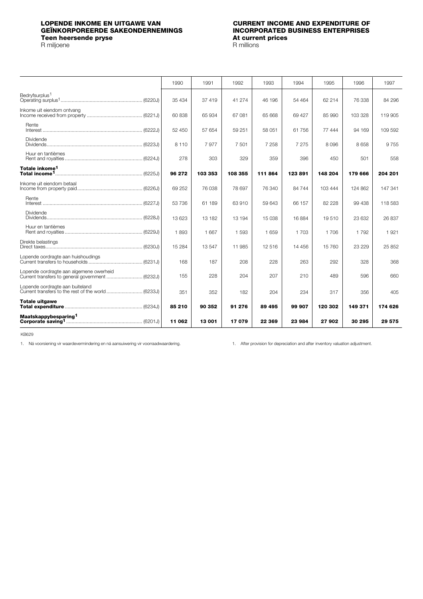## <span id="page-22-0"></span>**LOPENDE INKOME EN UITGAWE VAN CURRENT INCOME AND EXPENDITURE OF GEÏNKORPOREERDE SAKEONDERNEMINGS INCORPORATED BUSINESS ENTERPRISES Teen heersende pryse At current prices and at a set of the prices of the prices of the prices of the prices of the prices of the prices of the prices of the prices of the prices of the prices of the prices of the prices**

R miljoene

|                                         | 1990    | 1991    | 1992    | 1993    | 1994    | 1995     | 1996    | 1997    |
|-----------------------------------------|---------|---------|---------|---------|---------|----------|---------|---------|
| Bedryfsurplus <sup>1</sup>              | 35 434  | 37 419  | 41 274  | 46 196  | 54 464  | 62 214   | 76 338  | 84 296  |
| Inkome uit eiendom ontvang              | 60 838  | 65 934  | 67081   | 65 668  | 69 427  | 85 990   | 103 328 | 119 905 |
| Rente                                   | 52 450  | 57 654  | 59 251  | 58 051  | 61 756  | 77 444   | 94 169  | 109 592 |
| Dividende                               | 8 1 1 0 | 7977    | 7 501   | 7 2 5 8 | 7 2 7 5 | 8096     | 8658    | 9755    |
| Huur en tantièmes                       | 278     | 303     | 329     | 359     | 396     | 450      | 501     | 558     |
| Totale inkome <sup>1</sup>              | 96 272  | 103 353 | 108 355 | 111 864 | 123891  | 148 204  | 179 666 | 204 201 |
| Inkome uit eiendom betaal               | 69 25 2 | 76 038  | 78697   | 76 340  | 84 744  | 103 444  | 124 862 | 147 341 |
| Rente                                   | 53 736  | 61 189  | 63910   | 59 643  | 66 157  | 82 2 2 8 | 99 438  | 118 583 |
| Dividende                               | 13 623  | 13 182  | 13 194  | 15 038  | 16884   | 19510    | 23 632  | 26 837  |
| Huur en tantièmes                       | 1893    | 1 6 6 7 | 1 5 9 3 | 1659    | 1 7 0 3 | 1 706    | 1792    | 1921    |
| Direkte belastings                      | 15 2 84 | 13547   | 11 985  | 12516   | 14 45 6 | 15 760   | 23 229  | 25 852  |
|                                         | 168     | 187     | 208     | 228     | 263     | 292      | 328     | 368     |
| Lopende oordragte aan algemene owerheid | 155     | 228     | 204     | 207     | 210     | 489      | 596     | 660     |
| Lopende oordragte aan buiteland         | 351     | 352     | 182     | 204     | 234     | 317      | 356     | 405     |
| <b>Totale uitgawe</b>                   | 85 210  | 90 352  | 91 276  | 89 495  | 99 907  | 120 302  | 149 371 | 174 626 |
| Maatskappybesparing <sup>1</sup>        | 11 062  | 13 001  | 17079   | 22 369  | 23 984  | 27 902   | 30 295  | 29 575  |

KB629

1. Ná voorsiening vir waardevermindering en ná aansuiwering vir voorraadwaardering. 1. After provision for depreciation and after inventory valuation adjustment.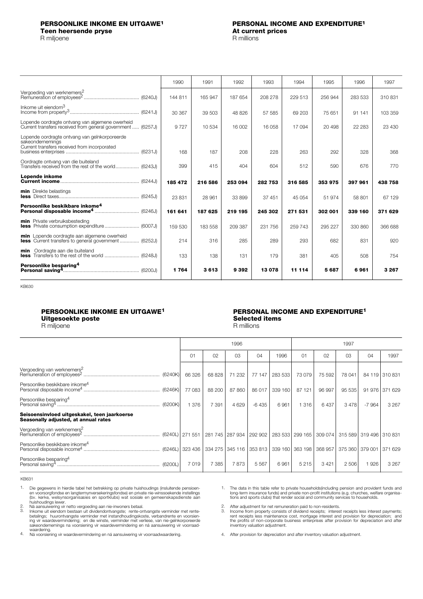### <span id="page-23-0"></span>**PERSOONLIKE INKOME EN UITGAWE1 PERSONAL INCOME AND EXPENDITURE1**

R miljoene

# **Teen heersende pryse At current prices**<br> **A** millioene **A** millions

|                                                                                                                   | 1990    | 1991    | 1992    | 1993    | 1994    | 1995    | 1996    | 1997    |
|-------------------------------------------------------------------------------------------------------------------|---------|---------|---------|---------|---------|---------|---------|---------|
| Vergoeding van werknemers <sup>2</sup>                                                                            | 144 811 | 165 947 | 187 654 | 208 278 | 229 513 | 256 944 | 283 533 | 310831  |
| Inkome uit eiendom <sup>3</sup>                                                                                   | 30 367  | 39 503  | 48826   | 57 585  | 69 203  | 75 651  | 91 141  | 103 359 |
| Lopende oordragte ontvang van algemene owerheid<br>Current transfers received from general government  (6257J)    | 9 7 2 7 | 10534   | 16 002  | 16 058  | 17094   | 20 4 98 | 22 283  | 23 430  |
| Lopende oordragte ontvang van geïnkorporeerde<br>sakeondernemings<br>Current transfers received from incorporated | 168     | 187     | 208     | 228     | 263     | 292     | 328     | 368     |
| Oordragte ontvang van die buiteland<br>Transfers received from the rest of the world (6243J)                      | 399     | 415     | 404     | 604     | 512     | 590     | 676     | 770     |
| Lopende inkome                                                                                                    | 185 472 | 216 586 | 253 094 | 282 753 | 316 585 | 353 975 | 397 961 | 438 758 |
| <b>min</b> Direkte belastings                                                                                     | 23 831  | 28 961  | 33899   | 37 451  | 45 054  | 51974   | 58 801  | 67 129  |
| Persoonlike beskikbare inkome <sup>4</sup>                                                                        | 161 641 | 187 625 | 219 195 | 245 302 | 271 531 | 302 001 | 339 160 | 371 629 |
| min Private verbruiksbesteding                                                                                    | 159 530 | 183 558 | 209 387 | 231 756 | 259 743 | 295 227 | 330 860 | 366 688 |
| min Lopende oordragte aan algemene owerheid<br><b>less</b> Current transfers to general government (6252J)        | 214     | 316     | 285     | 289     | 293     | 682     | 831     | 920     |
| min Oordragte aan die buiteland                                                                                   | 133     | 138     | 131     | 179     | 381     | 405     | 508     | 754     |
| Persoonlike besparing <sup>4</sup>                                                                                | 1764    | 3613    | 9 3 9 2 | 13078   | 11 114  | 5687    | 6961    | 3 2 6 7 |

KB630

# **Uitgesoekte poste Selected items**

## R miljoene

# **PERSOONLIKE INKOME EN UITGAWE1 PERSONAL INCOME AND EXPENDITURE1**

|                                                                                      |                |                | 1996            |         |         | 1997    |         |         |                 |                |
|--------------------------------------------------------------------------------------|----------------|----------------|-----------------|---------|---------|---------|---------|---------|-----------------|----------------|
|                                                                                      | 0 <sub>1</sub> | O <sub>2</sub> | O <sub>3</sub>  | 04      | 1996    | 01      | 02      | 03      | 04              | 1997           |
| Vergoeding van werknemers <sup>2</sup>                                               | 66 326         | 68 828         | 232<br>71       | 77 147  | 283 533 | 73079   | 75 592  | 78 041  |                 | 84 119 310 831 |
| Persoonlike beskikbare inkome <sup>4</sup>                                           | 77 083         | 88 200         | 87 860          | 86 017  | 339 160 | 87 121  | 96 997  | 95 535  | 91 976          | 371 629        |
| Persoonlike besparing <sup>4</sup>                                                   | 376            | 7 3 9 1        | 4629            | $-6435$ | 6961    | 316     | 6437    | 3478    | $-7964$         | 3 2 6 7        |
| Seisoensinvloed uitgeskakel, teen jaarkoerse<br>Seasonally adjusted, at annual rates |                |                |                 |         |         |         |         |         |                 |                |
| Vergoeding van werknemers <sup>2</sup>                                               |                |                | 281 745 287 934 | 292 902 | 283 533 | 299 165 | 309 074 | 315 589 | 319 496 310 831 |                |
| Persoonlike beskikbare inkome <sup>4</sup>                                           |                |                |                 | 353 813 | 339 160 | 363 198 | 368 957 | 375 360 | 379 001         | 371 629        |
| Persoonlike besparing <sup>4</sup>                                                   | 7019           | 7 385          | 7873            | 5 5 6 7 | 6961    | 5 2 1 5 | 3421    | 2 5 0 6 | 926             | 3 2 6 7        |

KB631

2. 3.

waardering. Ná voorsiening vir waardevermindering en ná aansuiwering vir voorraadwaardering. 4.

The data in this table refer to private households(including pension and provident funds and<br>long-term insurance funds) and private non-profit institutions (e.g. churches, welfare organisa-<br>tions and sports clubs) that ren 1.

2. 3.

After adjustment for net remuneration paid to non-residents.<br>Income from property consists of dividend receipts; interest receipts less interest payments;<br>rent receipts less maintenance cost, mortgage interest and provisio

After provision for depreciation and after inventory valuation adjustment. 4.

Die gegewens in hierdie tabel het betrekking op private huishoudings (insluitende pensioen-<br>en voorsorgfondse en langtermynversekeringsfondse) en private nie-winssoekende instellings<br>(bv. kerke, welsynsorganisasies en spor 1.